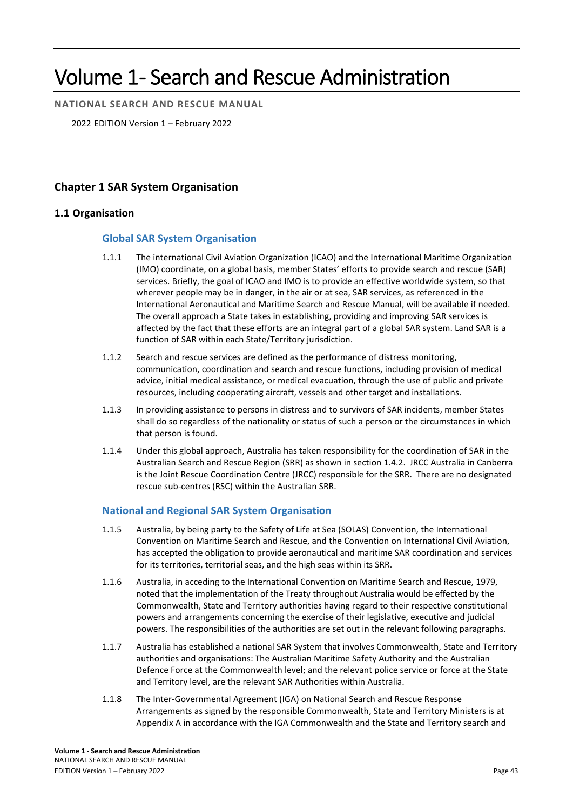# Volume 1- Search and Rescue Administration

**NATIONAL SEARCH AND RESCUE MANUAL**

2022 EDITION Version 1 – February 2022

# **Chapter 1 SAR System Organisation**

# **1.1 Organisation**

# **Global SAR System Organisation**

- 1.1.1 The international Civil Aviation Organization (ICAO) and the International Maritime Organization (IMO) coordinate, on a global basis, member States' efforts to provide search and rescue (SAR) services. Briefly, the goal of ICAO and IMO is to provide an effective worldwide system, so that wherever people may be in danger, in the air or at sea, SAR services, as referenced in the International Aeronautical and Maritime Search and Rescue Manual, will be available if needed. The overall approach a State takes in establishing, providing and improving SAR services is affected by the fact that these efforts are an integral part of a global SAR system. Land SAR is a function of SAR within each State/Territory jurisdiction.
- 1.1.2 Search and rescue services are defined as the performance of distress monitoring, communication, coordination and search and rescue functions, including provision of medical advice, initial medical assistance, or medical evacuation, through the use of public and private resources, including cooperating aircraft, vessels and other target and installations.
- 1.1.3 In providing assistance to persons in distress and to survivors of SAR incidents, member States shall do so regardless of the nationality or status of such a person or the circumstances in which that person is found.
- 1.1.4 Under this global approach, Australia has taken responsibility for the coordination of SAR in the Australian Search and Rescue Region (SRR) as shown in section 1.4.2. JRCC Australia in Canberra is the Joint Rescue Coordination Centre (JRCC) responsible for the SRR. There are no designated rescue sub-centres (RSC) within the Australian SRR.

# **National and Regional SAR System Organisation**

- 1.1.5 Australia, by being party to the Safety of Life at Sea (SOLAS) Convention, the International Convention on Maritime Search and Rescue, and the Convention on International Civil Aviation, has accepted the obligation to provide aeronautical and maritime SAR coordination and services for its territories, territorial seas, and the high seas within its SRR.
- 1.1.6 Australia, in acceding to the International Convention on Maritime Search and Rescue, 1979, noted that the implementation of the Treaty throughout Australia would be effected by the Commonwealth, State and Territory authorities having regard to their respective constitutional powers and arrangements concerning the exercise of their legislative, executive and judicial powers. The responsibilities of the authorities are set out in the relevant following paragraphs.
- 1.1.7 Australia has established a national SAR System that involves Commonwealth, State and Territory authorities and organisations: The Australian Maritime Safety Authority and the Australian Defence Force at the Commonwealth level; and the relevant police service or force at the State and Territory level, are the relevant SAR Authorities within Australia.
- 1.1.8 The Inter-Governmental Agreement (IGA) on National Search and Rescue Response Arrangements as signed by the responsible Commonwealth, State and Territory Ministers is at Appendix A in accordance with the IGA Commonwealth and the State and Territory search and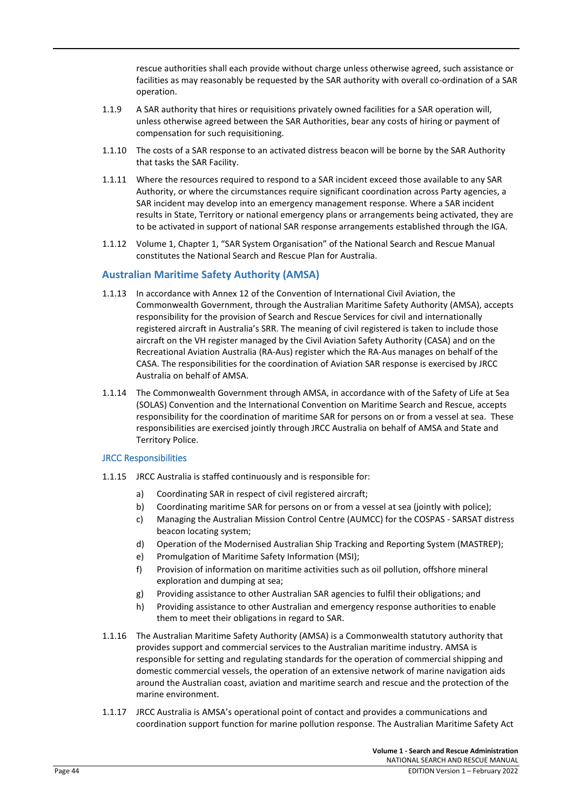rescue authorities shall each provide without charge unless otherwise agreed, such assistance or facilities as may reasonably be requested by the SAR authority with overall co-ordination of a SAR operation.

- 1.1.9 A SAR authority that hires or requisitions privately owned facilities for a SAR operation will, unless otherwise agreed between the SAR Authorities, bear any costs of hiring or payment of compensation for such requisitioning.
- 1.1.10 The costs of a SAR response to an activated distress beacon will be borne by the SAR Authority that tasks the SAR Facility.
- 1.1.11 Where the resources required to respond to a SAR incident exceed those available to any SAR Authority, or where the circumstances require significant coordination across Party agencies, a SAR incident may develop into an emergency management response. Where a SAR incident results in State, Territory or national emergency plans or arrangements being activated, they are to be activated in support of national SAR response arrangements established through the IGA.
- 1.1.12 Volume 1, Chapter 1, "SAR System Organisation" of the National Search and Rescue Manual constitutes the National Search and Rescue Plan for Australia.

# **Australian Maritime Safety Authority (AMSA)**

- 1.1.13 In accordance with Annex 12 of the Convention of International Civil Aviation, the Commonwealth Government, through the Australian Maritime Safety Authority (AMSA), accepts responsibility for the provision of Search and Rescue Services for civil and internationally registered aircraft in Australia's SRR. The meaning of civil registered is taken to include those aircraft on the VH register managed by the Civil Aviation Safety Authority (CASA) and on the Recreational Aviation Australia (RA-Aus) register which the RA-Aus manages on behalf of the CASA. The responsibilities for the coordination of Aviation SAR response is exercised by JRCC Australia on behalf of AMSA.
- 1.1.14 The Commonwealth Government through AMSA, in accordance with of the Safety of Life at Sea (SOLAS) Convention and the International Convention on Maritime Search and Rescue, accepts responsibility for the coordination of maritime SAR for persons on or from a vessel at sea. These responsibilities are exercised jointly through JRCC Australia on behalf of AMSA and State and Territory Police.

#### JRCC Responsibilities

- 1.1.15 JRCC Australia is staffed continuously and is responsible for:
	- a) Coordinating SAR in respect of civil registered aircraft;
	- b) Coordinating maritime SAR for persons on or from a vessel at sea (jointly with police);
	- c) Managing the Australian Mission Control Centre (AUMCC) for the COSPAS SARSAT distress beacon locating system;
	- d) Operation of the Modernised Australian Ship Tracking and Reporting System (MASTREP);
	- e) Promulgation of Maritime Safety Information (MSI);
	- f) Provision of information on maritime activities such as oil pollution, offshore mineral exploration and dumping at sea;
	- g) Providing assistance to other Australian SAR agencies to fulfil their obligations; and
	- h) Providing assistance to other Australian and emergency response authorities to enable them to meet their obligations in regard to SAR.
- 1.1.16 The Australian Maritime Safety Authority (AMSA) is a Commonwealth statutory authority that provides support and commercial services to the Australian maritime industry. AMSA is responsible for setting and regulating standards for the operation of commercial shipping and domestic commercial vessels, the operation of an extensive network of marine navigation aids around the Australian coast, aviation and maritime search and rescue and the protection of the marine environment.
- 1.1.17 JRCC Australia is AMSA's operational point of contact and provides a communications and coordination support function for marine pollution response. The Australian Maritime Safety Act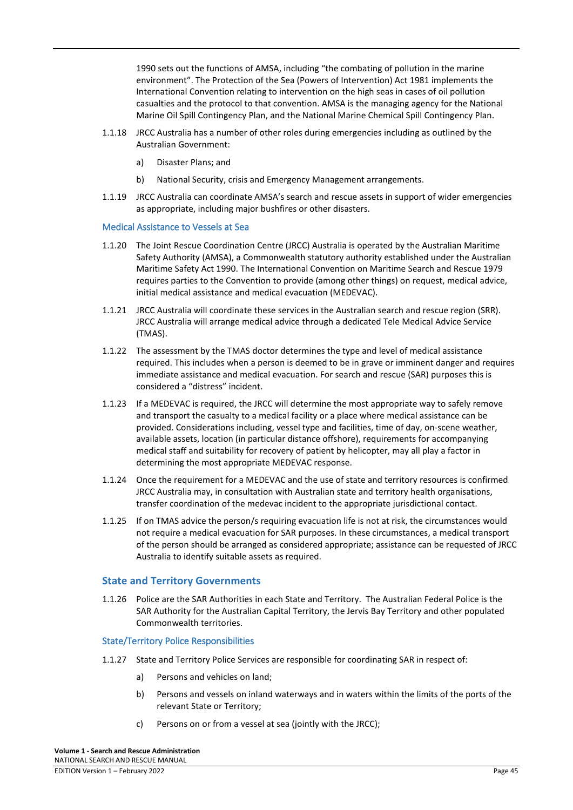1990 sets out the functions of AMSA, including "the combating of pollution in the marine environment". The Protection of the Sea (Powers of Intervention) Act 1981 implements the International Convention relating to intervention on the high seas in cases of oil pollution casualties and the protocol to that convention. AMSA is the managing agency for the National Marine Oil Spill Contingency Plan, and the National Marine Chemical Spill Contingency Plan.

- 1.1.18 JRCC Australia has a number of other roles during emergencies including as outlined by the Australian Government:
	- a) Disaster Plans; and
	- b) National Security, crisis and Emergency Management arrangements.
- 1.1.19 JRCC Australia can coordinate AMSA's search and rescue assets in support of wider emergencies as appropriate, including major bushfires or other disasters.

#### Medical Assistance to Vessels at Sea

- 1.1.20 The Joint Rescue Coordination Centre (JRCC) Australia is operated by the Australian Maritime Safety Authority (AMSA), a Commonwealth statutory authority established under the Australian Maritime Safety Act 1990. The International Convention on Maritime Search and Rescue 1979 requires parties to the Convention to provide (among other things) on request, medical advice, initial medical assistance and medical evacuation (MEDEVAC).
- 1.1.21 JRCC Australia will coordinate these services in the Australian search and rescue region (SRR). JRCC Australia will arrange medical advice through a dedicated Tele Medical Advice Service (TMAS).
- 1.1.22 The assessment by the TMAS doctor determines the type and level of medical assistance required. This includes when a person is deemed to be in grave or imminent danger and requires immediate assistance and medical evacuation. For search and rescue (SAR) purposes this is considered a "distress" incident.
- 1.1.23 If a MEDEVAC is required, the JRCC will determine the most appropriate way to safely remove and transport the casualty to a medical facility or a place where medical assistance can be provided. Considerations including, vessel type and facilities, time of day, on-scene weather, available assets, location (in particular distance offshore), requirements for accompanying medical staff and suitability for recovery of patient by helicopter, may all play a factor in determining the most appropriate MEDEVAC response.
- 1.1.24 Once the requirement for a MEDEVAC and the use of state and territory resources is confirmed JRCC Australia may, in consultation with Australian state and territory health organisations, transfer coordination of the medevac incident to the appropriate jurisdictional contact.
- 1.1.25 If on TMAS advice the person/s requiring evacuation life is not at risk, the circumstances would not require a medical evacuation for SAR purposes. In these circumstances, a medical transport of the person should be arranged as considered appropriate; assistance can be requested of JRCC Australia to identify suitable assets as required.

# **State and Territory Governments**

1.1.26 Police are the SAR Authorities in each State and Territory. The Australian Federal Police is the SAR Authority for the Australian Capital Territory, the Jervis Bay Territory and other populated Commonwealth territories.

#### State/Territory Police Responsibilities

- 1.1.27 State and Territory Police Services are responsible for coordinating SAR in respect of:
	- a) Persons and vehicles on land;
	- b) Persons and vessels on inland waterways and in waters within the limits of the ports of the relevant State or Territory;
	- c) Persons on or from a vessel at sea (jointly with the JRCC);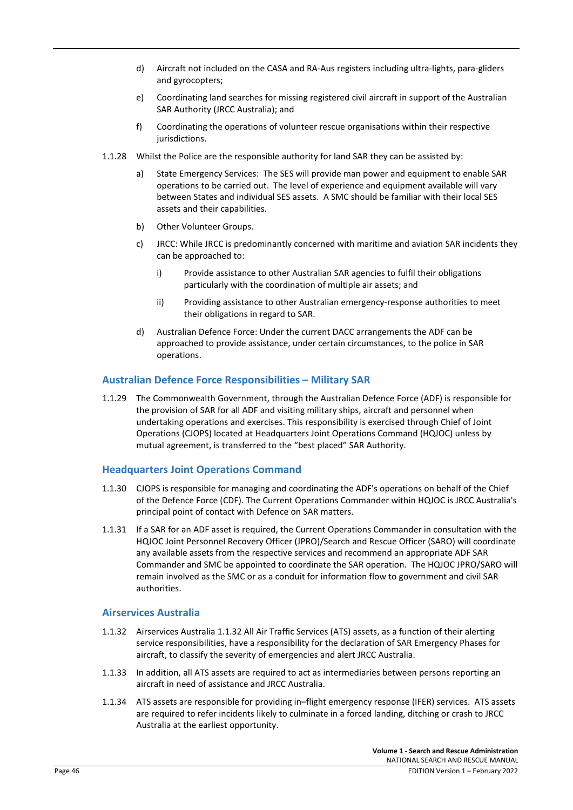- d) Aircraft not included on the CASA and RA-Aus registers including ultra-lights, para-gliders and gyrocopters;
- e) Coordinating land searches for missing registered civil aircraft in support of the Australian SAR Authority (JRCC Australia); and
- f) Coordinating the operations of volunteer rescue organisations within their respective jurisdictions.
- 1.1.28 Whilst the Police are the responsible authority for land SAR they can be assisted by:
	- a) State Emergency Services: The SES will provide man power and equipment to enable SAR operations to be carried out. The level of experience and equipment available will vary between States and individual SES assets. A SMC should be familiar with their local SES assets and their capabilities.
	- b) Other Volunteer Groups.
	- c) JRCC: While JRCC is predominantly concerned with maritime and aviation SAR incidents they can be approached to:
		- i) Provide assistance to other Australian SAR agencies to fulfil their obligations particularly with the coordination of multiple air assets; and
		- ii) Providing assistance to other Australian emergency-response authorities to meet their obligations in regard to SAR.
	- d) Australian Defence Force: Under the current DACC arrangements the ADF can be approached to provide assistance, under certain circumstances, to the police in SAR operations.

#### **Australian Defence Force Responsibilities – Military SAR**

1.1.29 The Commonwealth Government, through the Australian Defence Force (ADF) is responsible for the provision of SAR for all ADF and visiting military ships, aircraft and personnel when undertaking operations and exercises. This responsibility is exercised through Chief of Joint Operations (CJOPS) located at Headquarters Joint Operations Command (HQJOC) unless by mutual agreement, is transferred to the "best placed" SAR Authority.

#### **Headquarters Joint Operations Command**

- 1.1.30 CJOPS is responsible for managing and coordinating the ADF's operations on behalf of the Chief of the Defence Force (CDF). The Current Operations Commander within HQJOC is JRCC Australia's principal point of contact with Defence on SAR matters.
- 1.1.31 If a SAR for an ADF asset is required, the Current Operations Commander in consultation with the HQJOC Joint Personnel Recovery Officer (JPRO)/Search and Rescue Officer (SARO) will coordinate any available assets from the respective services and recommend an appropriate ADF SAR Commander and SMC be appointed to coordinate the SAR operation. The HQJOC JPRO/SARO will remain involved as the SMC or as a conduit for information flow to government and civil SAR authorities.

#### **Airservices Australia**

- 1.1.32 Airservices Australia 1.1.32 All Air Traffic Services (ATS) assets, as a function of their alerting service responsibilities, have a responsibility for the declaration of SAR Emergency Phases for aircraft, to classify the severity of emergencies and alert JRCC Australia.
- 1.1.33 In addition, all ATS assets are required to act as intermediaries between persons reporting an aircraft in need of assistance and JRCC Australia.
- 1.1.34 ATS assets are responsible for providing in–flight emergency response (IFER) services. ATS assets are required to refer incidents likely to culminate in a forced landing, ditching or crash to JRCC Australia at the earliest opportunity.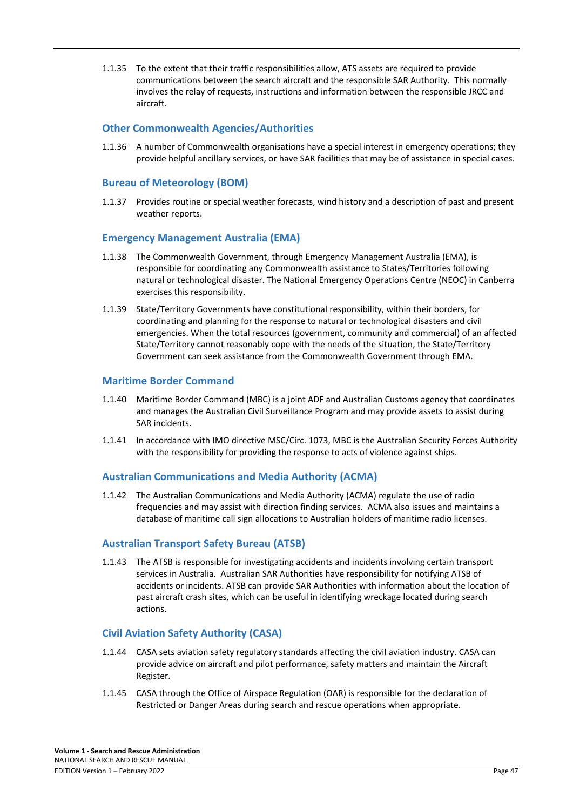1.1.35 To the extent that their traffic responsibilities allow, ATS assets are required to provide communications between the search aircraft and the responsible SAR Authority. This normally involves the relay of requests, instructions and information between the responsible JRCC and aircraft.

# **Other Commonwealth Agencies/Authorities**

1.1.36 A number of Commonwealth organisations have a special interest in emergency operations; they provide helpful ancillary services, or have SAR facilities that may be of assistance in special cases.

# **Bureau of Meteorology (BOM)**

1.1.37 Provides routine or special weather forecasts, wind history and a description of past and present weather reports.

#### **Emergency Management Australia (EMA)**

- 1.1.38 The Commonwealth Government, through Emergency Management Australia (EMA), is responsible for coordinating any Commonwealth assistance to States/Territories following natural or technological disaster. The National Emergency Operations Centre (NEOC) in Canberra exercises this responsibility.
- 1.1.39 State/Territory Governments have constitutional responsibility, within their borders, for coordinating and planning for the response to natural or technological disasters and civil emergencies. When the total resources (government, community and commercial) of an affected State/Territory cannot reasonably cope with the needs of the situation, the State/Territory Government can seek assistance from the Commonwealth Government through EMA.

# **Maritime Border Command**

- 1.1.40 Maritime Border Command (MBC) is a joint ADF and Australian Customs agency that coordinates and manages the Australian Civil Surveillance Program and may provide assets to assist during SAR incidents.
- 1.1.41 In accordance with IMO directive MSC/Circ. 1073, MBC is the Australian Security Forces Authority with the responsibility for providing the response to acts of violence against ships.

# **Australian Communications and Media Authority (ACMA)**

1.1.42 The Australian Communications and Media Authority (ACMA) regulate the use of radio frequencies and may assist with direction finding services. ACMA also issues and maintains a database of maritime call sign allocations to Australian holders of maritime radio licenses.

# **Australian Transport Safety Bureau (ATSB)**

1.1.43 The ATSB is responsible for investigating accidents and incidents involving certain transport services in Australia. Australian SAR Authorities have responsibility for notifying ATSB of accidents or incidents. ATSB can provide SAR Authorities with information about the location of past aircraft crash sites, which can be useful in identifying wreckage located during search actions.

# **Civil Aviation Safety Authority (CASA)**

- 1.1.44 CASA sets aviation safety regulatory standards affecting the civil aviation industry. CASA can provide advice on aircraft and pilot performance, safety matters and maintain the Aircraft Register.
- 1.1.45 CASA through the Office of Airspace Regulation (OAR) is responsible for the declaration of Restricted or Danger Areas during search and rescue operations when appropriate.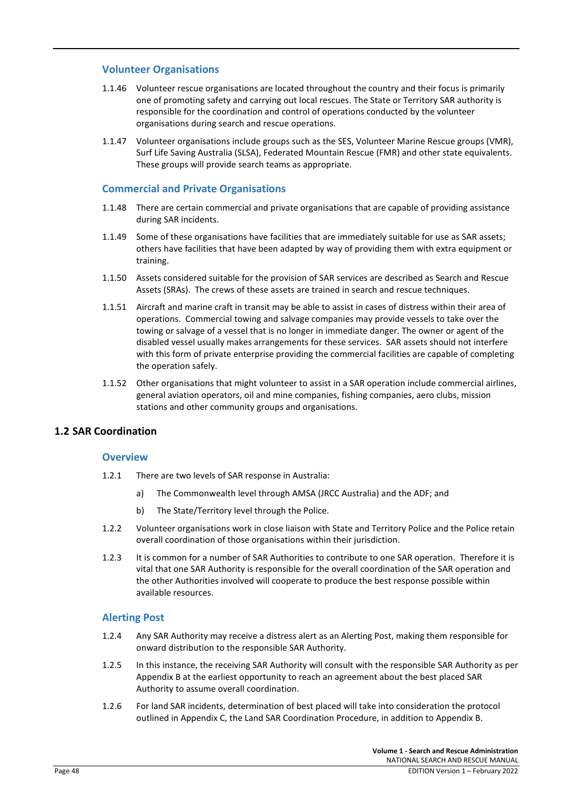# **Volunteer Organisations**

- 1.1.46 Volunteer rescue organisations are located throughout the country and their focus is primarily one of promoting safety and carrying out local rescues. The State or Territory SAR authority is responsible for the coordination and control of operations conducted by the volunteer organisations during search and rescue operations.
- 1.1.47 Volunteer organisations include groups such as the SES, Volunteer Marine Rescue groups (VMR), Surf Life Saving Australia (SLSA), Federated Mountain Rescue (FMR) and other state equivalents. These groups will provide search teams as appropriate.

# **Commercial and Private Organisations**

- 1.1.48 There are certain commercial and private organisations that are capable of providing assistance during SAR incidents.
- 1.1.49 Some of these organisations have facilities that are immediately suitable for use as SAR assets; others have facilities that have been adapted by way of providing them with extra equipment or training.
- 1.1.50 Assets considered suitable for the provision of SAR services are described as Search and Rescue Assets (SRAs). The crews of these assets are trained in search and rescue techniques.
- 1.1.51 Aircraft and marine craft in transit may be able to assist in cases of distress within their area of operations. Commercial towing and salvage companies may provide vessels to take over the towing or salvage of a vessel that is no longer in immediate danger. The owner or agent of the disabled vessel usually makes arrangements for these services. SAR assets should not interfere with this form of private enterprise providing the commercial facilities are capable of completing the operation safely.
- 1.1.52 Other organisations that might volunteer to assist in a SAR operation include commercial airlines, general aviation operators, oil and mine companies, fishing companies, aero clubs, mission stations and other community groups and organisations.

# **1.2 SAR Coordination**

#### **Overview**

- 1.2.1 There are two levels of SAR response in Australia:
	- a) The Commonwealth level through AMSA (JRCC Australia) and the ADF; and
	- b) The State/Territory level through the Police.
- 1.2.2 Volunteer organisations work in close liaison with State and Territory Police and the Police retain overall coordination of those organisations within their jurisdiction.
- 1.2.3 It is common for a number of SAR Authorities to contribute to one SAR operation. Therefore it is vital that one SAR Authority is responsible for the overall coordination of the SAR operation and the other Authorities involved will cooperate to produce the best response possible within available resources.

# **Alerting Post**

- 1.2.4 Any SAR Authority may receive a distress alert as an Alerting Post, making them responsible for onward distribution to the responsible SAR Authority.
- 1.2.5 In this instance, the receiving SAR Authority will consult with the responsible SAR Authority as per Appendix B at the earliest opportunity to reach an agreement about the best placed SAR Authority to assume overall coordination.
- 1.2.6 For land SAR incidents, determination of best placed will take into consideration the protocol outlined in Appendix C, the Land SAR Coordination Procedure, in addition to Appendix B.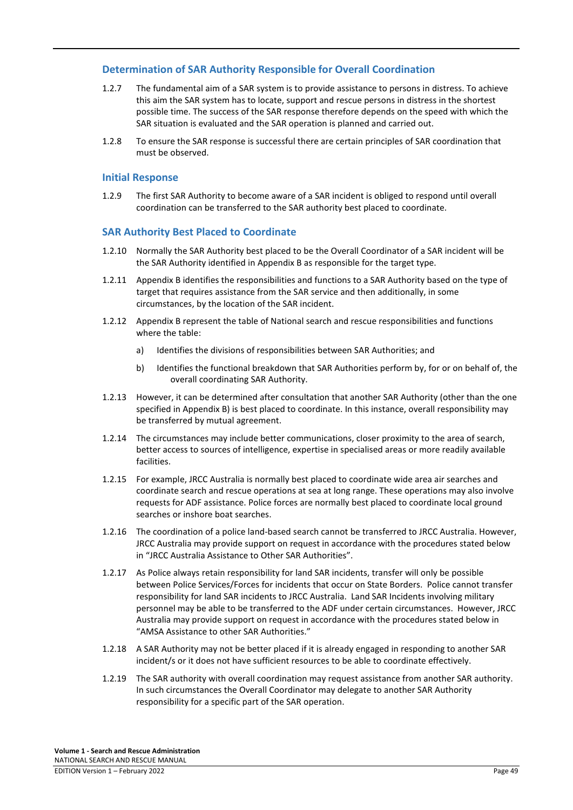# **Determination of SAR Authority Responsible for Overall Coordination**

- 1.2.7 The fundamental aim of a SAR system is to provide assistance to persons in distress. To achieve this aim the SAR system has to locate, support and rescue persons in distress in the shortest possible time. The success of the SAR response therefore depends on the speed with which the SAR situation is evaluated and the SAR operation is planned and carried out.
- 1.2.8 To ensure the SAR response is successful there are certain principles of SAR coordination that must be observed.

### **Initial Response**

1.2.9 The first SAR Authority to become aware of a SAR incident is obliged to respond until overall coordination can be transferred to the SAR authority best placed to coordinate.

#### **SAR Authority Best Placed to Coordinate**

- 1.2.10 Normally the SAR Authority best placed to be the Overall Coordinator of a SAR incident will be the SAR Authority identified in Appendix B as responsible for the target type.
- 1.2.11 Appendix B identifies the responsibilities and functions to a SAR Authority based on the type of target that requires assistance from the SAR service and then additionally, in some circumstances, by the location of the SAR incident.
- 1.2.12 Appendix B represent the table of National search and rescue responsibilities and functions where the table:
	- a) Identifies the divisions of responsibilities between SAR Authorities; and
	- b) Identifies the functional breakdown that SAR Authorities perform by, for or on behalf of, the overall coordinating SAR Authority.
- 1.2.13 However, it can be determined after consultation that another SAR Authority (other than the one specified in Appendix B) is best placed to coordinate. In this instance, overall responsibility may be transferred by mutual agreement.
- 1.2.14 The circumstances may include better communications, closer proximity to the area of search, better access to sources of intelligence, expertise in specialised areas or more readily available facilities.
- 1.2.15 For example, JRCC Australia is normally best placed to coordinate wide area air searches and coordinate search and rescue operations at sea at long range. These operations may also involve requests for ADF assistance. Police forces are normally best placed to coordinate local ground searches or inshore boat searches.
- 1.2.16 The coordination of a police land-based search cannot be transferred to JRCC Australia. However, JRCC Australia may provide support on request in accordance with the procedures stated below in "JRCC Australia Assistance to Other SAR Authorities".
- 1.2.17 As Police always retain responsibility for land SAR incidents, transfer will only be possible between Police Services/Forces for incidents that occur on State Borders. Police cannot transfer responsibility for land SAR incidents to JRCC Australia. Land SAR Incidents involving military personnel may be able to be transferred to the ADF under certain circumstances. However, JRCC Australia may provide support on request in accordance with the procedures stated below in "AMSA Assistance to other SAR Authorities."
- 1.2.18 A SAR Authority may not be better placed if it is already engaged in responding to another SAR incident/s or it does not have sufficient resources to be able to coordinate effectively.
- 1.2.19 The SAR authority with overall coordination may request assistance from another SAR authority. In such circumstances the Overall Coordinator may delegate to another SAR Authority responsibility for a specific part of the SAR operation.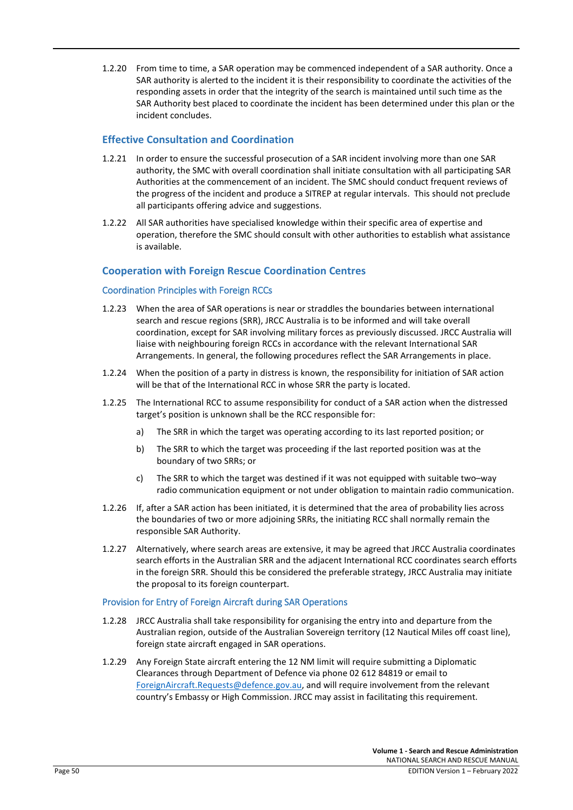1.2.20 From time to time, a SAR operation may be commenced independent of a SAR authority. Once a SAR authority is alerted to the incident it is their responsibility to coordinate the activities of the responding assets in order that the integrity of the search is maintained until such time as the SAR Authority best placed to coordinate the incident has been determined under this plan or the incident concludes.

# **Effective Consultation and Coordination**

- 1.2.21 In order to ensure the successful prosecution of a SAR incident involving more than one SAR authority, the SMC with overall coordination shall initiate consultation with all participating SAR Authorities at the commencement of an incident. The SMC should conduct frequent reviews of the progress of the incident and produce a SITREP at regular intervals. This should not preclude all participants offering advice and suggestions.
- 1.2.22 All SAR authorities have specialised knowledge within their specific area of expertise and operation, therefore the SMC should consult with other authorities to establish what assistance is available.

# **Cooperation with Foreign Rescue Coordination Centres**

#### Coordination Principles with Foreign RCCs

- 1.2.23 When the area of SAR operations is near or straddles the boundaries between international search and rescue regions (SRR), JRCC Australia is to be informed and will take overall coordination, except for SAR involving military forces as previously discussed. JRCC Australia will liaise with neighbouring foreign RCCs in accordance with the relevant International SAR Arrangements. In general, the following procedures reflect the SAR Arrangements in place.
- 1.2.24 When the position of a party in distress is known, the responsibility for initiation of SAR action will be that of the International RCC in whose SRR the party is located.
- 1.2.25 The International RCC to assume responsibility for conduct of a SAR action when the distressed target's position is unknown shall be the RCC responsible for:
	- a) The SRR in which the target was operating according to its last reported position; or
	- b) The SRR to which the target was proceeding if the last reported position was at the boundary of two SRRs; or
	- c) The SRR to which the target was destined if it was not equipped with suitable two–way radio communication equipment or not under obligation to maintain radio communication.
- 1.2.26 If, after a SAR action has been initiated, it is determined that the area of probability lies across the boundaries of two or more adjoining SRRs, the initiating RCC shall normally remain the responsible SAR Authority.
- 1.2.27 Alternatively, where search areas are extensive, it may be agreed that JRCC Australia coordinates search efforts in the Australian SRR and the adjacent International RCC coordinates search efforts in the foreign SRR. Should this be considered the preferable strategy, JRCC Australia may initiate the proposal to its foreign counterpart.

# Provision for Entry of Foreign Aircraft during SAR Operations

- 1.2.28 JRCC Australia shall take responsibility for organising the entry into and departure from the Australian region, outside of the Australian Sovereign territory (12 Nautical Miles off coast line), foreign state aircraft engaged in SAR operations.
- 1.2.29 Any Foreign State aircraft entering the 12 NM limit will require submitting a Diplomatic Clearances through Department of Defence via phone 02 612 84819 or email to [ForeignAircraft.Requests@defence.gov.au,](mailto:ForeignAircraft.Requests@defence.gov.au) and will require involvement from the relevant country's Embassy or High Commission. JRCC may assist in facilitating this requirement.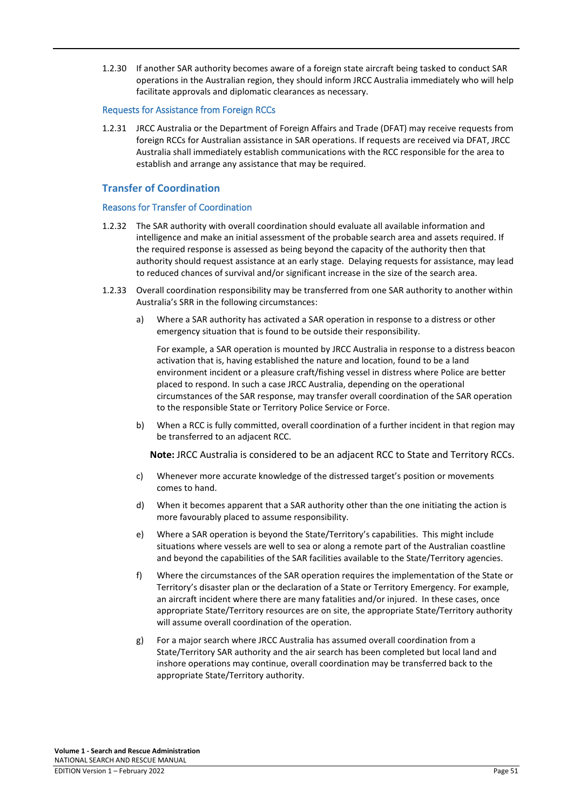1.2.30 If another SAR authority becomes aware of a foreign state aircraft being tasked to conduct SAR operations in the Australian region, they should inform JRCC Australia immediately who will help facilitate approvals and diplomatic clearances as necessary.

#### Requests for Assistance from Foreign RCCs

1.2.31 JRCC Australia or the Department of Foreign Affairs and Trade (DFAT) may receive requests from foreign RCCs for Australian assistance in SAR operations. If requests are received via DFAT, JRCC Australia shall immediately establish communications with the RCC responsible for the area to establish and arrange any assistance that may be required.

# **Transfer of Coordination**

#### Reasons for Transfer of Coordination

- 1.2.32 The SAR authority with overall coordination should evaluate all available information and intelligence and make an initial assessment of the probable search area and assets required. If the required response is assessed as being beyond the capacity of the authority then that authority should request assistance at an early stage. Delaying requests for assistance, may lead to reduced chances of survival and/or significant increase in the size of the search area.
- 1.2.33 Overall coordination responsibility may be transferred from one SAR authority to another within Australia's SRR in the following circumstances:
	- a) Where a SAR authority has activated a SAR operation in response to a distress or other emergency situation that is found to be outside their responsibility.

For example, a SAR operation is mounted by JRCC Australia in response to a distress beacon activation that is, having established the nature and location, found to be a land environment incident or a pleasure craft/fishing vessel in distress where Police are better placed to respond. In such a case JRCC Australia, depending on the operational circumstances of the SAR response, may transfer overall coordination of the SAR operation to the responsible State or Territory Police Service or Force.

b) When a RCC is fully committed, overall coordination of a further incident in that region may be transferred to an adjacent RCC.

**Note:** JRCC Australia is considered to be an adjacent RCC to State and Territory RCCs.

- c) Whenever more accurate knowledge of the distressed target's position or movements comes to hand.
- d) When it becomes apparent that a SAR authority other than the one initiating the action is more favourably placed to assume responsibility.
- e) Where a SAR operation is beyond the State/Territory's capabilities. This might include situations where vessels are well to sea or along a remote part of the Australian coastline and beyond the capabilities of the SAR facilities available to the State/Territory agencies.
- f) Where the circumstances of the SAR operation requires the implementation of the State or Territory's disaster plan or the declaration of a State or Territory Emergency. For example, an aircraft incident where there are many fatalities and/or injured. In these cases, once appropriate State/Territory resources are on site, the appropriate State/Territory authority will assume overall coordination of the operation.
- g) For a major search where JRCC Australia has assumed overall coordination from a State/Territory SAR authority and the air search has been completed but local land and inshore operations may continue, overall coordination may be transferred back to the appropriate State/Territory authority.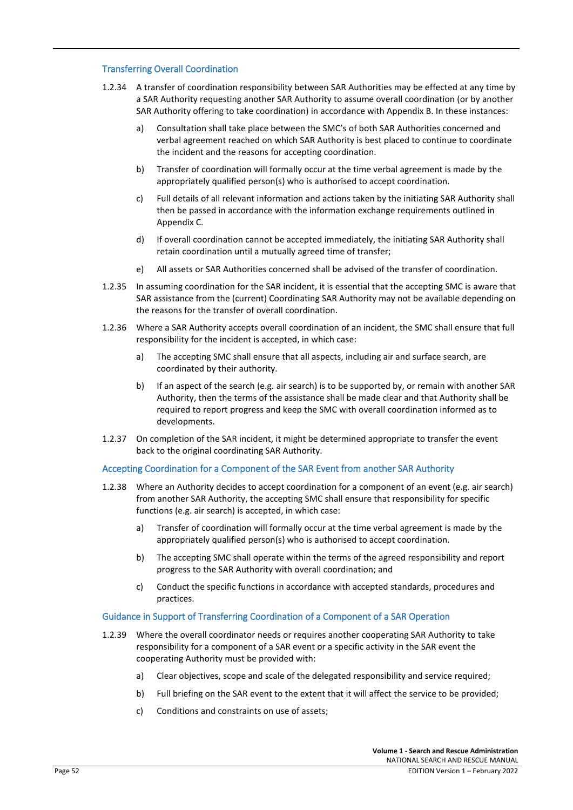#### Transferring Overall Coordination

- 1.2.34 A transfer of coordination responsibility between SAR Authorities may be effected at any time by a SAR Authority requesting another SAR Authority to assume overall coordination (or by another SAR Authority offering to take coordination) in accordance with Appendix B. In these instances:
	- a) Consultation shall take place between the SMC's of both SAR Authorities concerned and verbal agreement reached on which SAR Authority is best placed to continue to coordinate the incident and the reasons for accepting coordination.
	- b) Transfer of coordination will formally occur at the time verbal agreement is made by the appropriately qualified person(s) who is authorised to accept coordination.
	- c) Full details of all relevant information and actions taken by the initiating SAR Authority shall then be passed in accordance with the information exchange requirements outlined in Appendix C.
	- d) If overall coordination cannot be accepted immediately, the initiating SAR Authority shall retain coordination until a mutually agreed time of transfer;
	- e) All assets or SAR Authorities concerned shall be advised of the transfer of coordination.
- 1.2.35 In assuming coordination for the SAR incident, it is essential that the accepting SMC is aware that SAR assistance from the (current) Coordinating SAR Authority may not be available depending on the reasons for the transfer of overall coordination.
- 1.2.36 Where a SAR Authority accepts overall coordination of an incident, the SMC shall ensure that full responsibility for the incident is accepted, in which case:
	- a) The accepting SMC shall ensure that all aspects, including air and surface search, are coordinated by their authority.
	- b) If an aspect of the search (e.g. air search) is to be supported by, or remain with another SAR Authority, then the terms of the assistance shall be made clear and that Authority shall be required to report progress and keep the SMC with overall coordination informed as to developments.
- 1.2.37 On completion of the SAR incident, it might be determined appropriate to transfer the event back to the original coordinating SAR Authority.

#### Accepting Coordination for a Component of the SAR Event from another SAR Authority

- 1.2.38 Where an Authority decides to accept coordination for a component of an event (e.g. air search) from another SAR Authority, the accepting SMC shall ensure that responsibility for specific functions (e.g. air search) is accepted, in which case:
	- a) Transfer of coordination will formally occur at the time verbal agreement is made by the appropriately qualified person(s) who is authorised to accept coordination.
	- b) The accepting SMC shall operate within the terms of the agreed responsibility and report progress to the SAR Authority with overall coordination; and
	- c) Conduct the specific functions in accordance with accepted standards, procedures and practices.

#### Guidance in Support of Transferring Coordination of a Component of a SAR Operation

- 1.2.39 Where the overall coordinator needs or requires another cooperating SAR Authority to take responsibility for a component of a SAR event or a specific activity in the SAR event the cooperating Authority must be provided with:
	- a) Clear objectives, scope and scale of the delegated responsibility and service required;
	- b) Full briefing on the SAR event to the extent that it will affect the service to be provided;
	- c) Conditions and constraints on use of assets;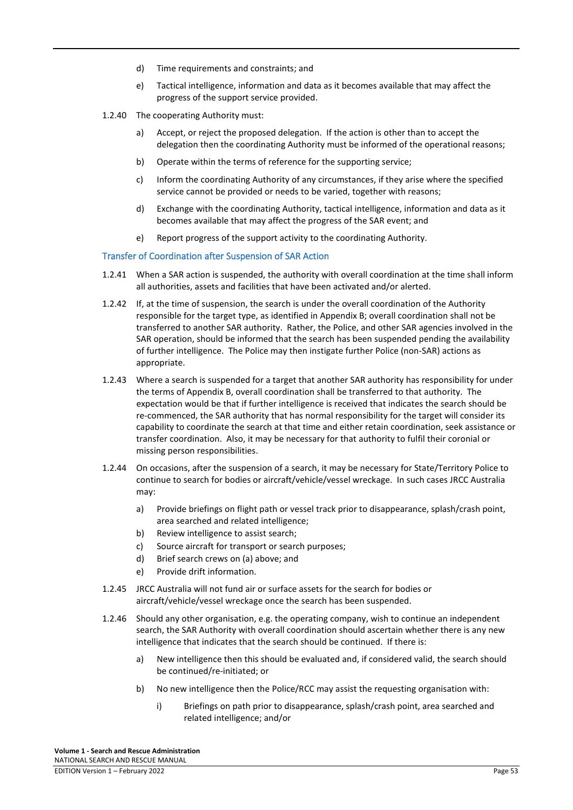- d) Time requirements and constraints; and
- e) Tactical intelligence, information and data as it becomes available that may affect the progress of the support service provided.
- 1.2.40 The cooperating Authority must:
	- a) Accept, or reject the proposed delegation. If the action is other than to accept the delegation then the coordinating Authority must be informed of the operational reasons;
	- b) Operate within the terms of reference for the supporting service;
	- c) Inform the coordinating Authority of any circumstances, if they arise where the specified service cannot be provided or needs to be varied, together with reasons;
	- d) Exchange with the coordinating Authority, tactical intelligence, information and data as it becomes available that may affect the progress of the SAR event; and
	- e) Report progress of the support activity to the coordinating Authority.

#### Transfer of Coordination after Suspension of SAR Action

- 1.2.41 When a SAR action is suspended, the authority with overall coordination at the time shall inform all authorities, assets and facilities that have been activated and/or alerted.
- 1.2.42 If, at the time of suspension, the search is under the overall coordination of the Authority responsible for the target type, as identified in Appendix B; overall coordination shall not be transferred to another SAR authority. Rather, the Police, and other SAR agencies involved in the SAR operation, should be informed that the search has been suspended pending the availability of further intelligence. The Police may then instigate further Police (non-SAR) actions as appropriate.
- 1.2.43 Where a search is suspended for a target that another SAR authority has responsibility for under the terms of Appendix B, overall coordination shall be transferred to that authority. The expectation would be that if further intelligence is received that indicates the search should be re-commenced, the SAR authority that has normal responsibility for the target will consider its capability to coordinate the search at that time and either retain coordination, seek assistance or transfer coordination. Also, it may be necessary for that authority to fulfil their coronial or missing person responsibilities.
- 1.2.44 On occasions, after the suspension of a search, it may be necessary for State/Territory Police to continue to search for bodies or aircraft/vehicle/vessel wreckage. In such cases JRCC Australia may:
	- a) Provide briefings on flight path or vessel track prior to disappearance, splash/crash point, area searched and related intelligence;
	- b) Review intelligence to assist search;
	- c) Source aircraft for transport or search purposes;
	- d) Brief search crews on (a) above; and
	- e) Provide drift information.
- 1.2.45 JRCC Australia will not fund air or surface assets for the search for bodies or aircraft/vehicle/vessel wreckage once the search has been suspended.
- 1.2.46 Should any other organisation, e.g. the operating company, wish to continue an independent search, the SAR Authority with overall coordination should ascertain whether there is any new intelligence that indicates that the search should be continued. If there is:
	- a) New intelligence then this should be evaluated and, if considered valid, the search should be continued/re-initiated; or
	- b) No new intelligence then the Police/RCC may assist the requesting organisation with:
		- i) Briefings on path prior to disappearance, splash/crash point, area searched and related intelligence; and/or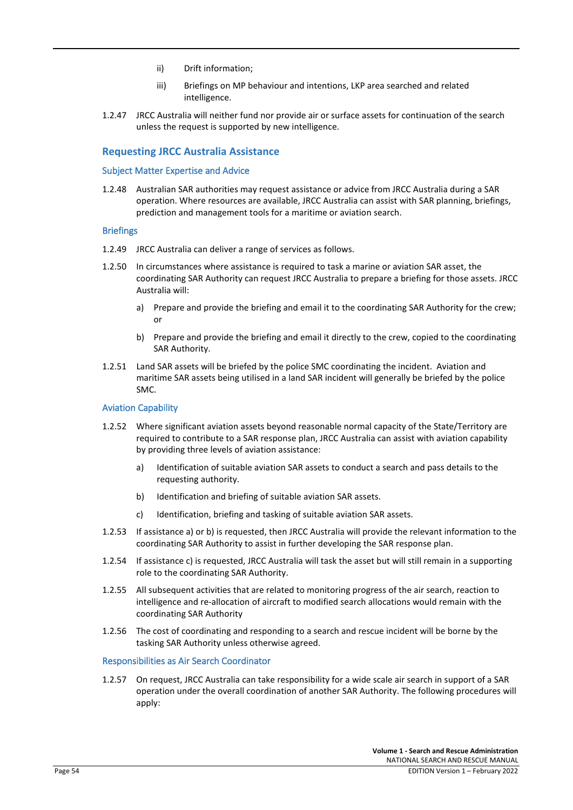- ii) Drift information;
- iii) Briefings on MP behaviour and intentions, LKP area searched and related intelligence.
- 1.2.47 JRCC Australia will neither fund nor provide air or surface assets for continuation of the search unless the request is supported by new intelligence.

# **Requesting JRCC Australia Assistance**

#### Subject Matter Expertise and Advice

1.2.48 Australian SAR authorities may request assistance or advice from JRCC Australia during a SAR operation. Where resources are available, JRCC Australia can assist with SAR planning, briefings, prediction and management tools for a maritime or aviation search.

#### **Briefings**

- 1.2.49 JRCC Australia can deliver a range of services as follows.
- 1.2.50 In circumstances where assistance is required to task a marine or aviation SAR asset, the coordinating SAR Authority can request JRCC Australia to prepare a briefing for those assets. JRCC Australia will:
	- a) Prepare and provide the briefing and email it to the coordinating SAR Authority for the crew; or
	- b) Prepare and provide the briefing and email it directly to the crew, copied to the coordinating SAR Authority.
- 1.2.51 Land SAR assets will be briefed by the police SMC coordinating the incident. Aviation and maritime SAR assets being utilised in a land SAR incident will generally be briefed by the police SMC.

#### Aviation Capability

- 1.2.52 Where significant aviation assets beyond reasonable normal capacity of the State/Territory are required to contribute to a SAR response plan, JRCC Australia can assist with aviation capability by providing three levels of aviation assistance:
	- a) Identification of suitable aviation SAR assets to conduct a search and pass details to the requesting authority.
	- b) Identification and briefing of suitable aviation SAR assets.
	- c) Identification, briefing and tasking of suitable aviation SAR assets.
- 1.2.53 If assistance a) or b) is requested, then JRCC Australia will provide the relevant information to the coordinating SAR Authority to assist in further developing the SAR response plan.
- 1.2.54 If assistance c) is requested, JRCC Australia will task the asset but will still remain in a supporting role to the coordinating SAR Authority.
- 1.2.55 All subsequent activities that are related to monitoring progress of the air search, reaction to intelligence and re-allocation of aircraft to modified search allocations would remain with the coordinating SAR Authority
- 1.2.56 The cost of coordinating and responding to a search and rescue incident will be borne by the tasking SAR Authority unless otherwise agreed.

#### Responsibilities as Air Search Coordinator

1.2.57 On request, JRCC Australia can take responsibility for a wide scale air search in support of a SAR operation under the overall coordination of another SAR Authority. The following procedures will apply: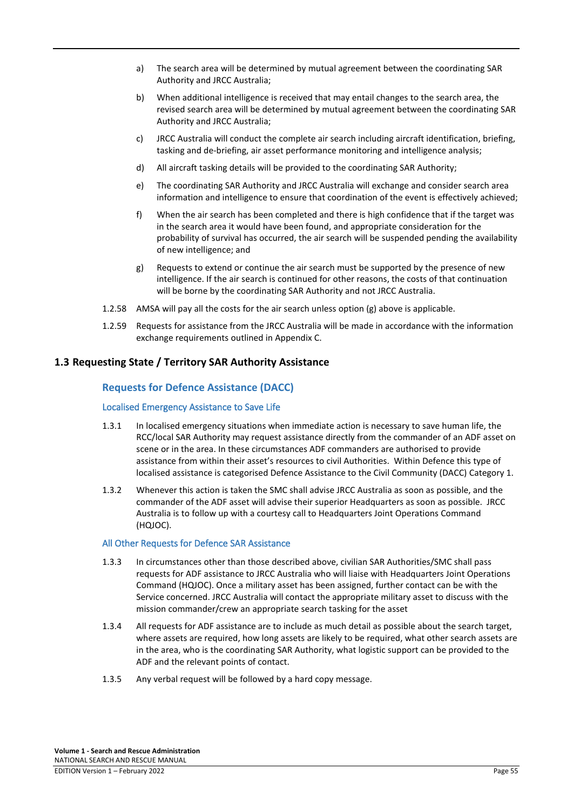- a) The search area will be determined by mutual agreement between the coordinating SAR Authority and JRCC Australia;
- b) When additional intelligence is received that may entail changes to the search area, the revised search area will be determined by mutual agreement between the coordinating SAR Authority and JRCC Australia;
- c) JRCC Australia will conduct the complete air search including aircraft identification, briefing, tasking and de-briefing, air asset performance monitoring and intelligence analysis;
- d) All aircraft tasking details will be provided to the coordinating SAR Authority;
- e) The coordinating SAR Authority and JRCC Australia will exchange and consider search area information and intelligence to ensure that coordination of the event is effectively achieved;
- f) When the air search has been completed and there is high confidence that if the target was in the search area it would have been found, and appropriate consideration for the probability of survival has occurred, the air search will be suspended pending the availability of new intelligence; and
- g) Requests to extend or continue the air search must be supported by the presence of new intelligence. If the air search is continued for other reasons, the costs of that continuation will be borne by the coordinating SAR Authority and not JRCC Australia.
- 1.2.58 AMSA will pay all the costs for the air search unless option (g) above is applicable.
- 1.2.59 Requests for assistance from the JRCC Australia will be made in accordance with the information exchange requirements outlined in Appendix C.

# **1.3 Requesting State / Territory SAR Authority Assistance**

# **Requests for Defence Assistance (DACC)**

### Localised Emergency Assistance to Save Life

- 1.3.1 In localised emergency situations when immediate action is necessary to save human life, the RCC/local SAR Authority may request assistance directly from the commander of an ADF asset on scene or in the area. In these circumstances ADF commanders are authorised to provide assistance from within their asset's resources to civil Authorities. Within Defence this type of localised assistance is categorised Defence Assistance to the Civil Community (DACC) Category 1.
- 1.3.2 Whenever this action is taken the SMC shall advise JRCC Australia as soon as possible, and the commander of the ADF asset will advise their superior Headquarters as soon as possible. JRCC Australia is to follow up with a courtesy call to Headquarters Joint Operations Command (HQJOC).

# All Other Requests for Defence SAR Assistance

- 1.3.3 In circumstances other than those described above, civilian SAR Authorities/SMC shall pass requests for ADF assistance to JRCC Australia who will liaise with Headquarters Joint Operations Command (HQJOC). Once a military asset has been assigned, further contact can be with the Service concerned. JRCC Australia will contact the appropriate military asset to discuss with the mission commander/crew an appropriate search tasking for the asset
- 1.3.4 All requests for ADF assistance are to include as much detail as possible about the search target, where assets are required, how long assets are likely to be required, what other search assets are in the area, who is the coordinating SAR Authority, what logistic support can be provided to the ADF and the relevant points of contact.
- 1.3.5 Any verbal request will be followed by a hard copy message.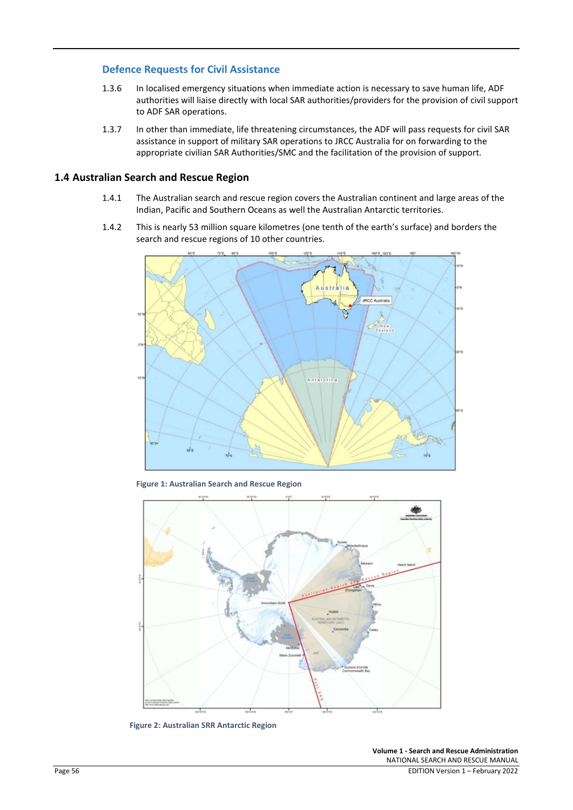# **Defence Requests for Civil Assistance**

- 1.3.6 In localised emergency situations when immediate action is necessary to save human life, ADF authorities will liaise directly with local SAR authorities/providers for the provision of civil support to ADF SAR operations.
- 1.3.7 In other than immediate, life threatening circumstances, the ADF will pass requests for civil SAR assistance in support of military SAR operations to JRCC Australia for on forwarding to the appropriate civilian SAR Authorities/SMC and the facilitation of the provision of support.

# **1.4 Australian Search and Rescue Region**

- 1.4.1 The Australian search and rescue region covers the Australian continent and large areas of the Indian, Pacific and Southern Oceans as well the Australian Antarctic territories.
- 1.4.2 This is nearly 53 million square kilometres (one tenth of the earth's surface) and borders the search and rescue regions of 10 other countries.



**Figure 1: Australian Search and Rescue Region**



 **Figure 2: Australian SRR Antarctic Region**

**Volume 1 - Search and Rescue Administration** NATIONAL SEARCH AND RESCUE MANUAL Page 56 EDITION Version 1 – February 2022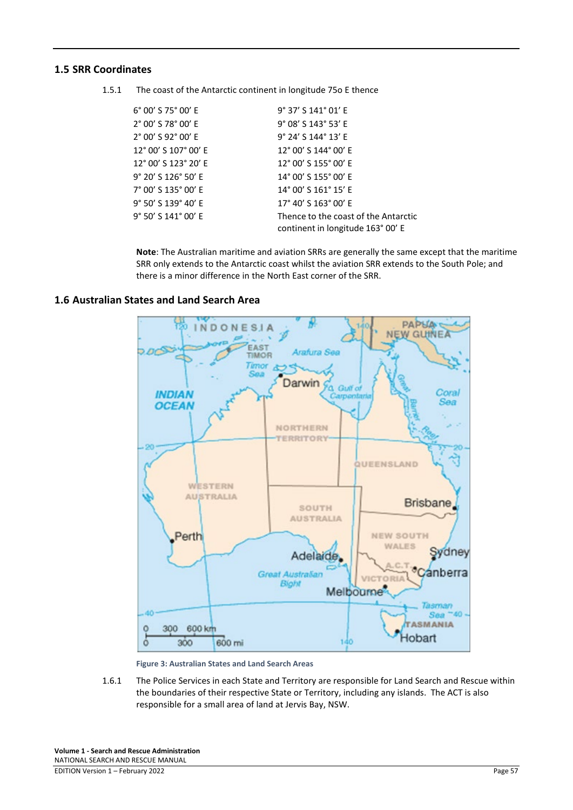# **1.5 SRR Coordinates**

1.5.1 The coast of the Antarctic continent in longitude 75o E thence

| 6° 00' S 75° 00' E<br>9° 37' S 141° 01' E<br>2° 00' S 78° 00' E<br>9° 08' S 143° 53' E<br>2° 00' S 92° 00' E<br>$9^{\circ}$ 24' S 144 $^{\circ}$ 13' E<br>12° 00' S 107° 00' E<br>12° 00' S 144° 00' E<br>12° 00' S 123° 20' E<br>12° 00' S 155° 00' E<br>9° 20' S 126° 50' E<br>14° 00' S 155° 00' E<br>7° 00' S 135° 00' E<br>14° 00' S 161° 15' E<br>9° 50' S 139° 40' E<br>17° 40' S 163° 00' E<br>9° 50' S 141° 00' E<br>Thence to the coast of the Antarctic<br>continent in longitude 163° 00' E |  |
|---------------------------------------------------------------------------------------------------------------------------------------------------------------------------------------------------------------------------------------------------------------------------------------------------------------------------------------------------------------------------------------------------------------------------------------------------------------------------------------------------------|--|
|                                                                                                                                                                                                                                                                                                                                                                                                                                                                                                         |  |
|                                                                                                                                                                                                                                                                                                                                                                                                                                                                                                         |  |
|                                                                                                                                                                                                                                                                                                                                                                                                                                                                                                         |  |
|                                                                                                                                                                                                                                                                                                                                                                                                                                                                                                         |  |
|                                                                                                                                                                                                                                                                                                                                                                                                                                                                                                         |  |
|                                                                                                                                                                                                                                                                                                                                                                                                                                                                                                         |  |
|                                                                                                                                                                                                                                                                                                                                                                                                                                                                                                         |  |
|                                                                                                                                                                                                                                                                                                                                                                                                                                                                                                         |  |
|                                                                                                                                                                                                                                                                                                                                                                                                                                                                                                         |  |

**Note**: The Australian maritime and aviation SRRs are generally the same except that the maritime SRR only extends to the Antarctic coast whilst the aviation SRR extends to the South Pole; and there is a minor difference in the North East corner of the SRR.



# **1.6 Australian States and Land Search Area**

**Figure 3: Australian States and Land Search Areas**

1.6.1 The Police Services in each State and Territory are responsible for Land Search and Rescue within the boundaries of their respective State or Territory, including any islands. The ACT is also responsible for a small area of land at Jervis Bay, NSW.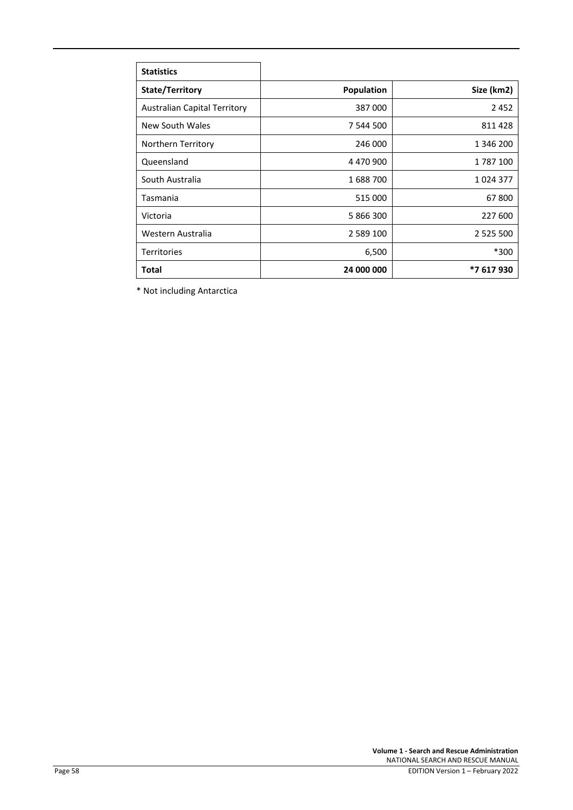| <b>Statistics</b>                   |                   |               |
|-------------------------------------|-------------------|---------------|
| State/Territory                     | <b>Population</b> | Size (km2)    |
| <b>Australian Capital Territory</b> | 387000            | 2452          |
| New South Wales                     | 7 544 500         | 811428        |
| Northern Territory                  | 246 000           | 1 346 200     |
| Queensland                          | 4 470 900         | 1787100       |
| South Australia                     | 1688700           | 1024377       |
| Tasmania                            | 515 000           | 67800         |
| Victoria                            | 5 866 300         | 227 600       |
| Western Australia                   | 2 5 8 9 1 0 0     | 2 5 2 5 5 0 0 |
| <b>Territories</b>                  | 6,500             | *300          |
| <b>Total</b>                        | 24 000 000        | *7 617 930    |

\* Not including Antarctica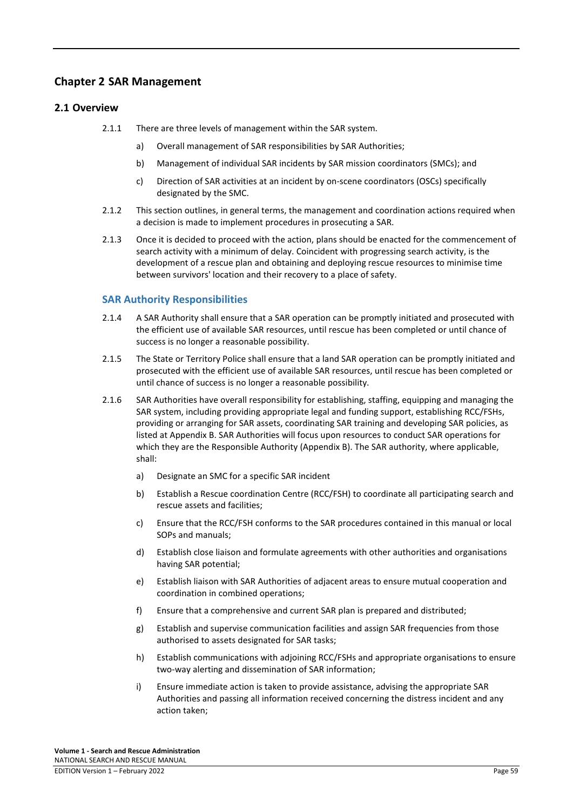# **Chapter 2 SAR Management**

# **2.1 Overview**

- 2.1.1 There are three levels of management within the SAR system.
	- a) Overall management of SAR responsibilities by SAR Authorities;
	- b) Management of individual SAR incidents by SAR mission coordinators (SMCs); and
	- c) Direction of SAR activities at an incident by on-scene coordinators (OSCs) specifically designated by the SMC.
- 2.1.2 This section outlines, in general terms, the management and coordination actions required when a decision is made to implement procedures in prosecuting a SAR.
- 2.1.3 Once it is decided to proceed with the action, plans should be enacted for the commencement of search activity with a minimum of delay. Coincident with progressing search activity, is the development of a rescue plan and obtaining and deploying rescue resources to minimise time between survivors' location and their recovery to a place of safety.

# **SAR Authority Responsibilities**

- 2.1.4 A SAR Authority shall ensure that a SAR operation can be promptly initiated and prosecuted with the efficient use of available SAR resources, until rescue has been completed or until chance of success is no longer a reasonable possibility.
- 2.1.5 The State or Territory Police shall ensure that a land SAR operation can be promptly initiated and prosecuted with the efficient use of available SAR resources, until rescue has been completed or until chance of success is no longer a reasonable possibility.
- 2.1.6 SAR Authorities have overall responsibility for establishing, staffing, equipping and managing the SAR system, including providing appropriate legal and funding support, establishing RCC/FSHs, providing or arranging for SAR assets, coordinating SAR training and developing SAR policies, as listed at Appendix B. SAR Authorities will focus upon resources to conduct SAR operations for which they are the Responsible Authority (Appendix B). The SAR authority, where applicable, shall:
	- a) Designate an SMC for a specific SAR incident
	- b) Establish a Rescue coordination Centre (RCC/FSH) to coordinate all participating search and rescue assets and facilities;
	- c) Ensure that the RCC/FSH conforms to the SAR procedures contained in this manual or local SOPs and manuals;
	- d) Establish close liaison and formulate agreements with other authorities and organisations having SAR potential;
	- e) Establish liaison with SAR Authorities of adjacent areas to ensure mutual cooperation and coordination in combined operations;
	- f) Ensure that a comprehensive and current SAR plan is prepared and distributed;
	- g) Establish and supervise communication facilities and assign SAR frequencies from those authorised to assets designated for SAR tasks;
	- h) Establish communications with adjoining RCC/FSHs and appropriate organisations to ensure two-way alerting and dissemination of SAR information;
	- i) Ensure immediate action is taken to provide assistance, advising the appropriate SAR Authorities and passing all information received concerning the distress incident and any action taken;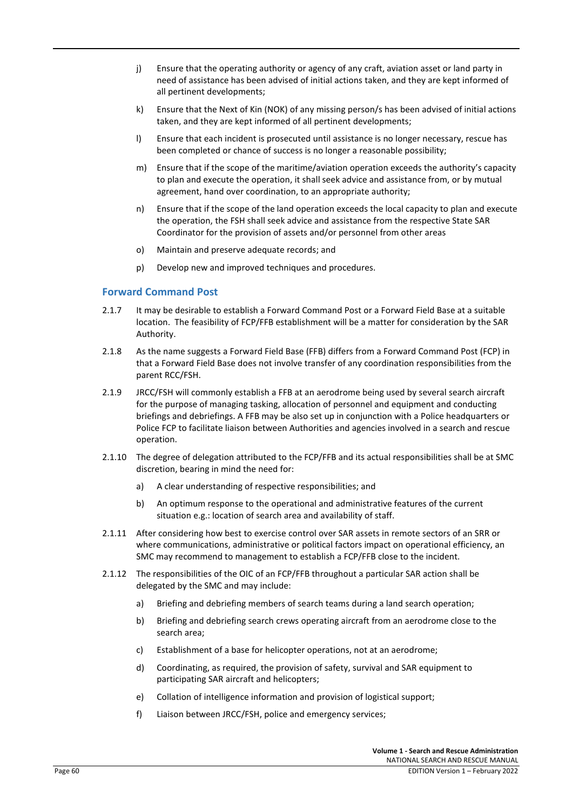- j) Ensure that the operating authority or agency of any craft, aviation asset or land party in need of assistance has been advised of initial actions taken, and they are kept informed of all pertinent developments;
- k) Ensure that the Next of Kin (NOK) of any missing person/s has been advised of initial actions taken, and they are kept informed of all pertinent developments;
- l) Ensure that each incident is prosecuted until assistance is no longer necessary, rescue has been completed or chance of success is no longer a reasonable possibility;
- m) Ensure that if the scope of the maritime/aviation operation exceeds the authority's capacity to plan and execute the operation, it shall seek advice and assistance from, or by mutual agreement, hand over coordination, to an appropriate authority;
- n) Ensure that if the scope of the land operation exceeds the local capacity to plan and execute the operation, the FSH shall seek advice and assistance from the respective State SAR Coordinator for the provision of assets and/or personnel from other areas
- o) Maintain and preserve adequate records; and
- p) Develop new and improved techniques and procedures.

#### **Forward Command Post**

- 2.1.7 It may be desirable to establish a Forward Command Post or a Forward Field Base at a suitable location. The feasibility of FCP/FFB establishment will be a matter for consideration by the SAR Authority.
- 2.1.8 As the name suggests a Forward Field Base (FFB) differs from a Forward Command Post (FCP) in that a Forward Field Base does not involve transfer of any coordination responsibilities from the parent RCC/FSH.
- 2.1.9 JRCC/FSH will commonly establish a FFB at an aerodrome being used by several search aircraft for the purpose of managing tasking, allocation of personnel and equipment and conducting briefings and debriefings. A FFB may be also set up in conjunction with a Police headquarters or Police FCP to facilitate liaison between Authorities and agencies involved in a search and rescue operation.
- 2.1.10 The degree of delegation attributed to the FCP/FFB and its actual responsibilities shall be at SMC discretion, bearing in mind the need for:
	- a) A clear understanding of respective responsibilities; and
	- b) An optimum response to the operational and administrative features of the current situation e.g.: location of search area and availability of staff.
- 2.1.11 After considering how best to exercise control over SAR assets in remote sectors of an SRR or where communications, administrative or political factors impact on operational efficiency, an SMC may recommend to management to establish a FCP/FFB close to the incident.
- 2.1.12 The responsibilities of the OIC of an FCP/FFB throughout a particular SAR action shall be delegated by the SMC and may include:
	- a) Briefing and debriefing members of search teams during a land search operation;
	- b) Briefing and debriefing search crews operating aircraft from an aerodrome close to the search area;
	- c) Establishment of a base for helicopter operations, not at an aerodrome;
	- d) Coordinating, as required, the provision of safety, survival and SAR equipment to participating SAR aircraft and helicopters;
	- e) Collation of intelligence information and provision of logistical support;
	- f) Liaison between JRCC/FSH, police and emergency services;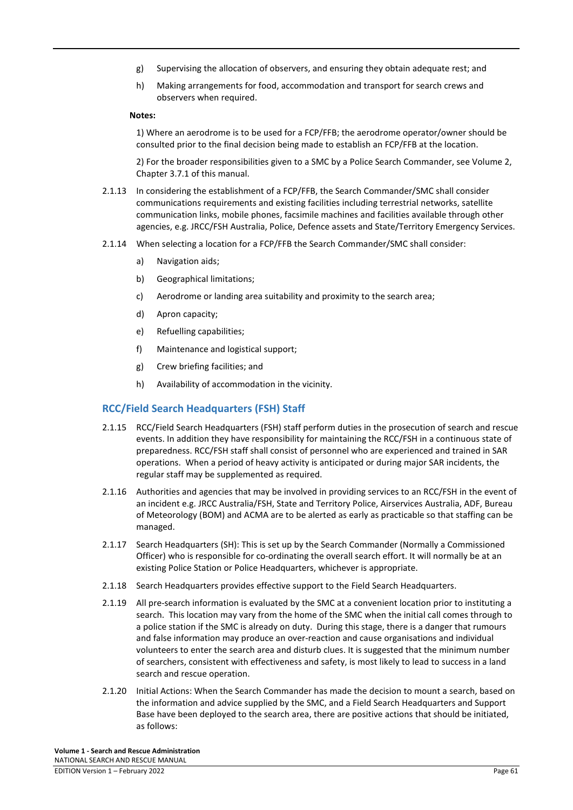- g) Supervising the allocation of observers, and ensuring they obtain adequate rest; and
- h) Making arrangements for food, accommodation and transport for search crews and observers when required.

#### **Notes:**

1) Where an aerodrome is to be used for a FCP/FFB; the aerodrome operator/owner should be consulted prior to the final decision being made to establish an FCP/FFB at the location.

2) For the broader responsibilities given to a SMC by a Police Search Commander, see Volume 2, Chapter 3.7.1 of this manual.

- 2.1.13 In considering the establishment of a FCP/FFB, the Search Commander/SMC shall consider communications requirements and existing facilities including terrestrial networks, satellite communication links, mobile phones, facsimile machines and facilities available through other agencies, e.g. JRCC/FSH Australia, Police, Defence assets and State/Territory Emergency Services.
- 2.1.14 When selecting a location for a FCP/FFB the Search Commander/SMC shall consider:
	- a) Navigation aids;
	- b) Geographical limitations;
	- c) Aerodrome or landing area suitability and proximity to the search area;
	- d) Apron capacity;
	- e) Refuelling capabilities;
	- f) Maintenance and logistical support;
	- g) Crew briefing facilities; and
	- h) Availability of accommodation in the vicinity.

# **RCC/Field Search Headquarters (FSH) Staff**

- 2.1.15 RCC/Field Search Headquarters (FSH) staff perform duties in the prosecution of search and rescue events. In addition they have responsibility for maintaining the RCC/FSH in a continuous state of preparedness. RCC/FSH staff shall consist of personnel who are experienced and trained in SAR operations. When a period of heavy activity is anticipated or during major SAR incidents, the regular staff may be supplemented as required.
- 2.1.16 Authorities and agencies that may be involved in providing services to an RCC/FSH in the event of an incident e.g. JRCC Australia/FSH, State and Territory Police, Airservices Australia, ADF, Bureau of Meteorology (BOM) and ACMA are to be alerted as early as practicable so that staffing can be managed.
- 2.1.17 Search Headquarters (SH): This is set up by the Search Commander (Normally a Commissioned Officer) who is responsible for co-ordinating the overall search effort. It will normally be at an existing Police Station or Police Headquarters, whichever is appropriate.
- 2.1.18 Search Headquarters provides effective support to the Field Search Headquarters.
- 2.1.19 All pre-search information is evaluated by the SMC at a convenient location prior to instituting a search. This location may vary from the home of the SMC when the initial call comes through to a police station if the SMC is already on duty. During this stage, there is a danger that rumours and false information may produce an over-reaction and cause organisations and individual volunteers to enter the search area and disturb clues. It is suggested that the minimum number of searchers, consistent with effectiveness and safety, is most likely to lead to success in a land search and rescue operation.
- 2.1.20 Initial Actions: When the Search Commander has made the decision to mount a search, based on the information and advice supplied by the SMC, and a Field Search Headquarters and Support Base have been deployed to the search area, there are positive actions that should be initiated, as follows: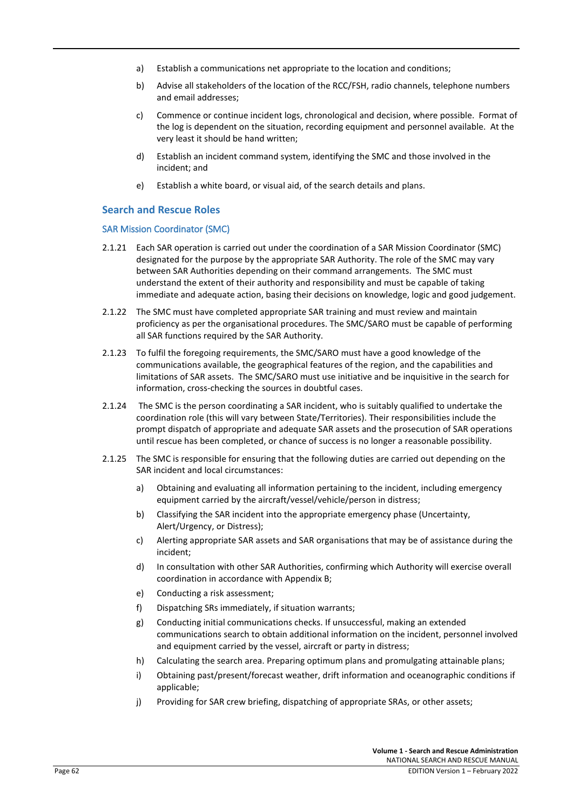- a) Establish a communications net appropriate to the location and conditions;
- b) Advise all stakeholders of the location of the RCC/FSH, radio channels, telephone numbers and email addresses;
- c) Commence or continue incident logs, chronological and decision, where possible. Format of the log is dependent on the situation, recording equipment and personnel available. At the very least it should be hand written;
- d) Establish an incident command system, identifying the SMC and those involved in the incident; and
- e) Establish a white board, or visual aid, of the search details and plans.

#### **Search and Rescue Roles**

#### SAR Mission Coordinator (SMC)

- 2.1.21 Each SAR operation is carried out under the coordination of a SAR Mission Coordinator (SMC) designated for the purpose by the appropriate SAR Authority. The role of the SMC may vary between SAR Authorities depending on their command arrangements. The SMC must understand the extent of their authority and responsibility and must be capable of taking immediate and adequate action, basing their decisions on knowledge, logic and good judgement.
- 2.1.22 The SMC must have completed appropriate SAR training and must review and maintain proficiency as per the organisational procedures. The SMC/SARO must be capable of performing all SAR functions required by the SAR Authority.
- 2.1.23 To fulfil the foregoing requirements, the SMC/SARO must have a good knowledge of the communications available, the geographical features of the region, and the capabilities and limitations of SAR assets. The SMC/SARO must use initiative and be inquisitive in the search for information, cross-checking the sources in doubtful cases.
- 2.1.24 The SMC is the person coordinating a SAR incident, who is suitably qualified to undertake the coordination role (this will vary between State/Territories). Their responsibilities include the prompt dispatch of appropriate and adequate SAR assets and the prosecution of SAR operations until rescue has been completed, or chance of success is no longer a reasonable possibility.
- 2.1.25 The SMC is responsible for ensuring that the following duties are carried out depending on the SAR incident and local circumstances:
	- a) Obtaining and evaluating all information pertaining to the incident, including emergency equipment carried by the aircraft/vessel/vehicle/person in distress;
	- b) Classifying the SAR incident into the appropriate emergency phase (Uncertainty, Alert/Urgency, or Distress);
	- c) Alerting appropriate SAR assets and SAR organisations that may be of assistance during the incident;
	- d) In consultation with other SAR Authorities, confirming which Authority will exercise overall coordination in accordance with Appendix B;
	- e) Conducting a risk assessment;
	- f) Dispatching SRs immediately, if situation warrants;
	- g) Conducting initial communications checks. If unsuccessful, making an extended communications search to obtain additional information on the incident, personnel involved and equipment carried by the vessel, aircraft or party in distress;
	- h) Calculating the search area. Preparing optimum plans and promulgating attainable plans;
	- i) Obtaining past/present/forecast weather, drift information and oceanographic conditions if applicable;
	- j) Providing for SAR crew briefing, dispatching of appropriate SRAs, or other assets;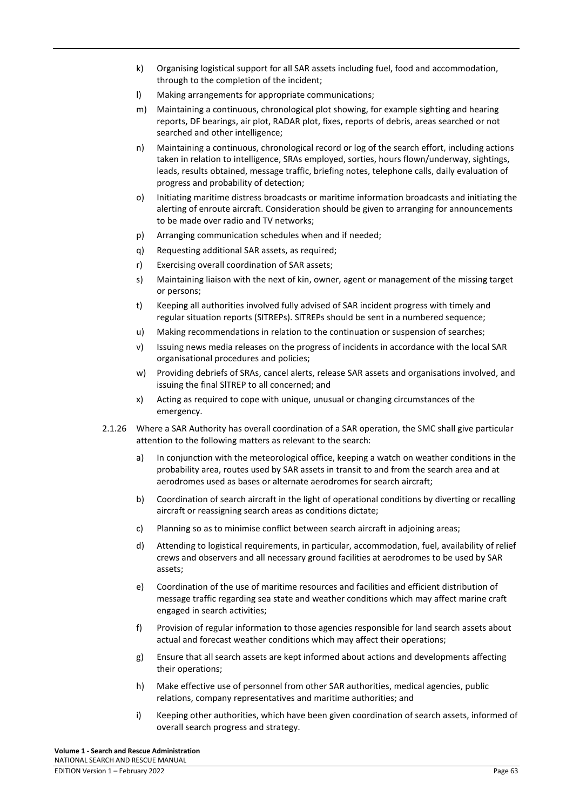- k) Organising logistical support for all SAR assets including fuel, food and accommodation, through to the completion of the incident;
- l) Making arrangements for appropriate communications;
- m) Maintaining a continuous, chronological plot showing, for example sighting and hearing reports, DF bearings, air plot, RADAR plot, fixes, reports of debris, areas searched or not searched and other intelligence;
- n) Maintaining a continuous, chronological record or log of the search effort, including actions taken in relation to intelligence, SRAs employed, sorties, hours flown/underway, sightings, leads, results obtained, message traffic, briefing notes, telephone calls, daily evaluation of progress and probability of detection;
- o) Initiating maritime distress broadcasts or maritime information broadcasts and initiating the alerting of enroute aircraft. Consideration should be given to arranging for announcements to be made over radio and TV networks;
- p) Arranging communication schedules when and if needed;
- q) Requesting additional SAR assets, as required;
- r) Exercising overall coordination of SAR assets;
- s) Maintaining liaison with the next of kin, owner, agent or management of the missing target or persons;
- t) Keeping all authorities involved fully advised of SAR incident progress with timely and regular situation reports (SlTREPs). SlTREPs should be sent in a numbered sequence;
- u) Making recommendations in relation to the continuation or suspension of searches;
- v) Issuing news media releases on the progress of incidents in accordance with the local SAR organisational procedures and policies;
- w) Providing debriefs of SRAs, cancel alerts, release SAR assets and organisations involved, and issuing the final SlTREP to all concerned; and
- x) Acting as required to cope with unique, unusual or changing circumstances of the emergency.
- 2.1.26 Where a SAR Authority has overall coordination of a SAR operation, the SMC shall give particular attention to the following matters as relevant to the search:
	- a) In conjunction with the meteorological office, keeping a watch on weather conditions in the probability area, routes used by SAR assets in transit to and from the search area and at aerodromes used as bases or alternate aerodromes for search aircraft;
	- b) Coordination of search aircraft in the light of operational conditions by diverting or recalling aircraft or reassigning search areas as conditions dictate;
	- c) Planning so as to minimise conflict between search aircraft in adjoining areas;
	- d) Attending to logistical requirements, in particular, accommodation, fuel, availability of relief crews and observers and all necessary ground facilities at aerodromes to be used by SAR assets;
	- e) Coordination of the use of maritime resources and facilities and efficient distribution of message traffic regarding sea state and weather conditions which may affect marine craft engaged in search activities;
	- f) Provision of regular information to those agencies responsible for land search assets about actual and forecast weather conditions which may affect their operations;
	- g) Ensure that all search assets are kept informed about actions and developments affecting their operations;
	- h) Make effective use of personnel from other SAR authorities, medical agencies, public relations, company representatives and maritime authorities; and
	- i) Keeping other authorities, which have been given coordination of search assets, informed of overall search progress and strategy.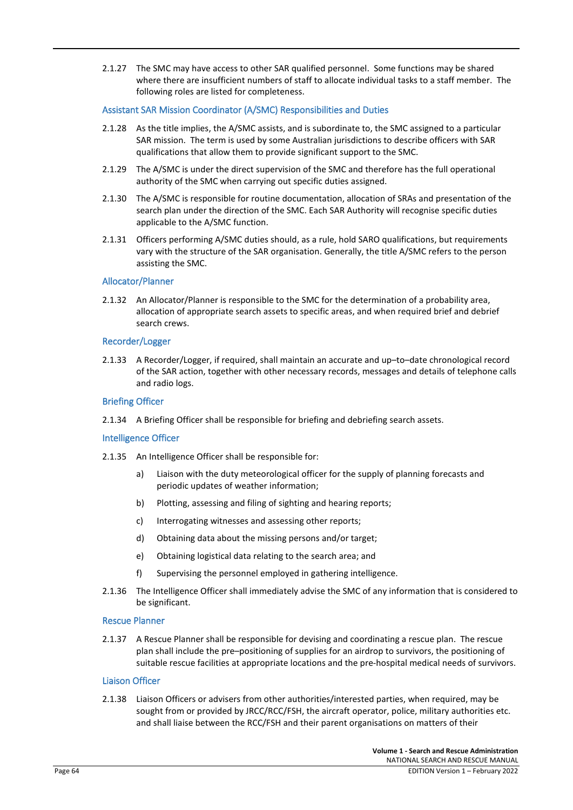2.1.27 The SMC may have access to other SAR qualified personnel. Some functions may be shared where there are insufficient numbers of staff to allocate individual tasks to a staff member. The following roles are listed for completeness.

#### Assistant SAR Mission Coordinator (A/SMC) Responsibilities and Duties

- 2.1.28 As the title implies, the A/SMC assists, and is subordinate to, the SMC assigned to a particular SAR mission. The term is used by some Australian jurisdictions to describe officers with SAR qualifications that allow them to provide significant support to the SMC.
- 2.1.29 The A/SMC is under the direct supervision of the SMC and therefore has the full operational authority of the SMC when carrying out specific duties assigned.
- 2.1.30 The A/SMC is responsible for routine documentation, allocation of SRAs and presentation of the search plan under the direction of the SMC. Each SAR Authority will recognise specific duties applicable to the A/SMC function.
- 2.1.31 Officers performing A/SMC duties should, as a rule, hold SARO qualifications, but requirements vary with the structure of the SAR organisation. Generally, the title A/SMC refers to the person assisting the SMC.

#### Allocator/Planner

2.1.32 An Allocator/Planner is responsible to the SMC for the determination of a probability area, allocation of appropriate search assets to specific areas, and when required brief and debrief search crews.

#### Recorder/Logger

2.1.33 A Recorder/Logger, if required, shall maintain an accurate and up–to–date chronological record of the SAR action, together with other necessary records, messages and details of telephone calls and radio logs.

#### Briefing Officer

2.1.34 A Briefing Officer shall be responsible for briefing and debriefing search assets.

#### Intelligence Officer

- 2.1.35 An Intelligence Officer shall be responsible for:
	- a) Liaison with the duty meteorological officer for the supply of planning forecasts and periodic updates of weather information;
	- b) Plotting, assessing and filing of sighting and hearing reports;
	- c) Interrogating witnesses and assessing other reports;
	- d) Obtaining data about the missing persons and/or target;
	- e) Obtaining logistical data relating to the search area; and
	- f) Supervising the personnel employed in gathering intelligence.
- 2.1.36 The Intelligence Officer shall immediately advise the SMC of any information that is considered to be significant.

#### Rescue Planner

2.1.37 A Rescue Planner shall be responsible for devising and coordinating a rescue plan. The rescue plan shall include the pre–positioning of supplies for an airdrop to survivors, the positioning of suitable rescue facilities at appropriate locations and the pre-hospital medical needs of survivors.

#### Liaison Officer

2.1.38 Liaison Officers or advisers from other authorities/interested parties, when required, may be sought from or provided by JRCC/RCC/FSH, the aircraft operator, police, military authorities etc. and shall liaise between the RCC/FSH and their parent organisations on matters of their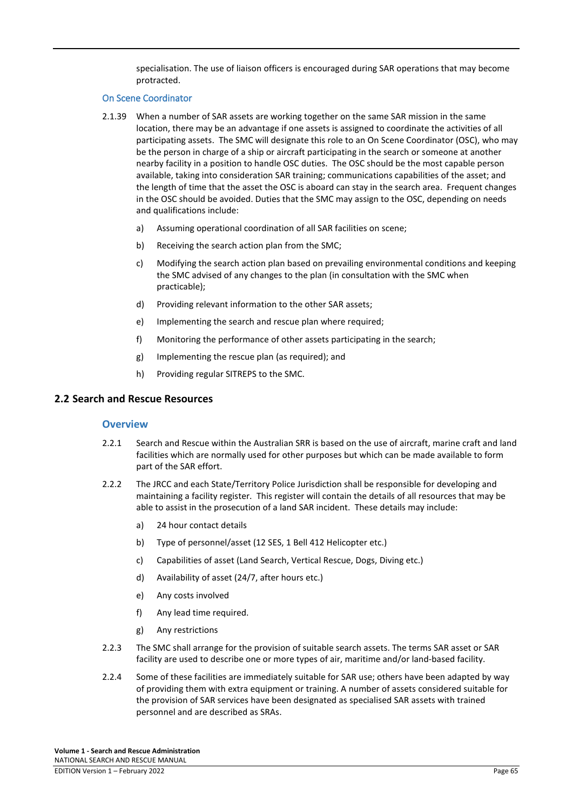specialisation. The use of liaison officers is encouraged during SAR operations that may become protracted.

#### On Scene Coordinator

- 2.1.39 When a number of SAR assets are working together on the same SAR mission in the same location, there may be an advantage if one assets is assigned to coordinate the activities of all participating assets. The SMC will designate this role to an On Scene Coordinator (OSC), who may be the person in charge of a ship or aircraft participating in the search or someone at another nearby facility in a position to handle OSC duties. The OSC should be the most capable person available, taking into consideration SAR training; communications capabilities of the asset; and the length of time that the asset the OSC is aboard can stay in the search area. Frequent changes in the OSC should be avoided. Duties that the SMC may assign to the OSC, depending on needs and qualifications include:
	- a) Assuming operational coordination of all SAR facilities on scene;
	- b) Receiving the search action plan from the SMC;
	- c) Modifying the search action plan based on prevailing environmental conditions and keeping the SMC advised of any changes to the plan (in consultation with the SMC when practicable);
	- d) Providing relevant information to the other SAR assets;
	- e) Implementing the search and rescue plan where required;
	- f) Monitoring the performance of other assets participating in the search;
	- g) Implementing the rescue plan (as required); and
	- h) Providing regular SITREPS to the SMC.

# **2.2 Search and Rescue Resources**

#### **Overview**

- 2.2.1 Search and Rescue within the Australian SRR is based on the use of aircraft, marine craft and land facilities which are normally used for other purposes but which can be made available to form part of the SAR effort.
- 2.2.2 The JRCC and each State/Territory Police Jurisdiction shall be responsible for developing and maintaining a facility register. This register will contain the details of all resources that may be able to assist in the prosecution of a land SAR incident. These details may include:
	- a) 24 hour contact details
	- b) Type of personnel/asset (12 SES, 1 Bell 412 Helicopter etc.)
	- c) Capabilities of asset (Land Search, Vertical Rescue, Dogs, Diving etc.)
	- d) Availability of asset (24/7, after hours etc.)
	- e) Any costs involved
	- f) Any lead time required.
	- g) Any restrictions
- 2.2.3 The SMC shall arrange for the provision of suitable search assets. The terms SAR asset or SAR facility are used to describe one or more types of air, maritime and/or land-based facility.
- 2.2.4 Some of these facilities are immediately suitable for SAR use; others have been adapted by way of providing them with extra equipment or training. A number of assets considered suitable for the provision of SAR services have been designated as specialised SAR assets with trained personnel and are described as SRAs.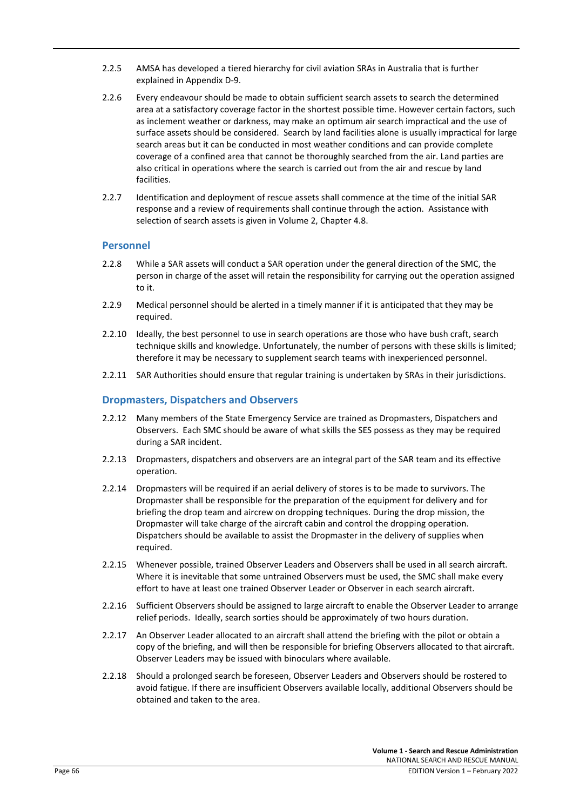- 2.2.5 AMSA has developed a tiered hierarchy for civil aviation SRAs in Australia that is further explained in Appendix D-9.
- 2.2.6 Every endeavour should be made to obtain sufficient search assets to search the determined area at a satisfactory coverage factor in the shortest possible time. However certain factors, such as inclement weather or darkness, may make an optimum air search impractical and the use of surface assets should be considered. Search by land facilities alone is usually impractical for large search areas but it can be conducted in most weather conditions and can provide complete coverage of a confined area that cannot be thoroughly searched from the air. Land parties are also critical in operations where the search is carried out from the air and rescue by land facilities.
- 2.2.7 Identification and deployment of rescue assets shall commence at the time of the initial SAR response and a review of requirements shall continue through the action. Assistance with selection of search assets is given in Volume 2, Chapter 4.8.

# **Personnel**

- 2.2.8 While a SAR assets will conduct a SAR operation under the general direction of the SMC, the person in charge of the asset will retain the responsibility for carrying out the operation assigned to it.
- 2.2.9 Medical personnel should be alerted in a timely manner if it is anticipated that they may be required.
- 2.2.10 Ideally, the best personnel to use in search operations are those who have bush craft, search technique skills and knowledge. Unfortunately, the number of persons with these skills is limited; therefore it may be necessary to supplement search teams with inexperienced personnel.
- 2.2.11 SAR Authorities should ensure that regular training is undertaken by SRAs in their jurisdictions.

# **Dropmasters, Dispatchers and Observers**

- 2.2.12 Many members of the State Emergency Service are trained as Dropmasters, Dispatchers and Observers. Each SMC should be aware of what skills the SES possess as they may be required during a SAR incident.
- 2.2.13 Dropmasters, dispatchers and observers are an integral part of the SAR team and its effective operation.
- 2.2.14 Dropmasters will be required if an aerial delivery of stores is to be made to survivors. The Dropmaster shall be responsible for the preparation of the equipment for delivery and for briefing the drop team and aircrew on dropping techniques. During the drop mission, the Dropmaster will take charge of the aircraft cabin and control the dropping operation. Dispatchers should be available to assist the Dropmaster in the delivery of supplies when required.
- 2.2.15 Whenever possible, trained Observer Leaders and Observers shall be used in all search aircraft. Where it is inevitable that some untrained Observers must be used, the SMC shall make every effort to have at least one trained Observer Leader or Observer in each search aircraft.
- 2.2.16 Sufficient Observers should be assigned to large aircraft to enable the Observer Leader to arrange relief periods. Ideally, search sorties should be approximately of two hours duration.
- 2.2.17 An Observer Leader allocated to an aircraft shall attend the briefing with the pilot or obtain a copy of the briefing, and will then be responsible for briefing Observers allocated to that aircraft. Observer Leaders may be issued with binoculars where available.
- 2.2.18 Should a prolonged search be foreseen, Observer Leaders and Observers should be rostered to avoid fatigue. If there are insufficient Observers available locally, additional Observers should be obtained and taken to the area.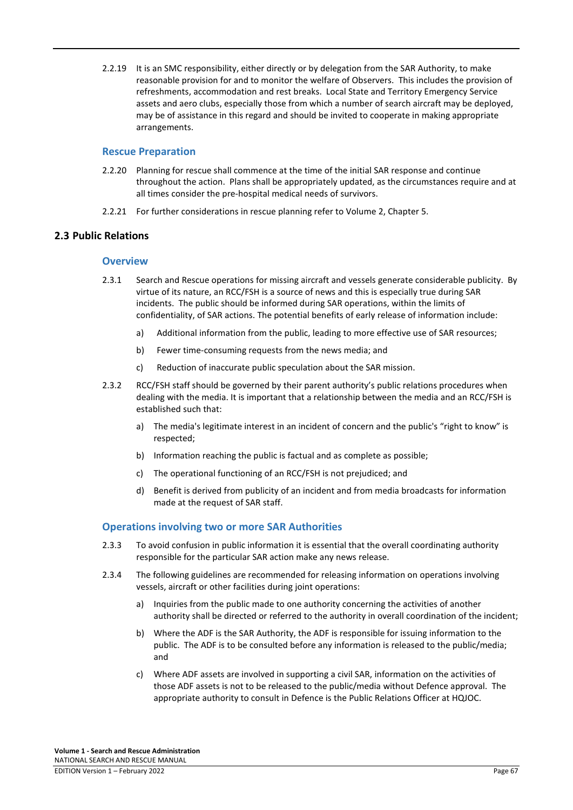2.2.19 It is an SMC responsibility, either directly or by delegation from the SAR Authority, to make reasonable provision for and to monitor the welfare of Observers. This includes the provision of refreshments, accommodation and rest breaks. Local State and Territory Emergency Service assets and aero clubs, especially those from which a number of search aircraft may be deployed, may be of assistance in this regard and should be invited to cooperate in making appropriate arrangements.

#### **Rescue Preparation**

- 2.2.20 Planning for rescue shall commence at the time of the initial SAR response and continue throughout the action. Plans shall be appropriately updated, as the circumstances require and at all times consider the pre-hospital medical needs of survivors.
- 2.2.21 For further considerations in rescue planning refer to Volume 2, Chapter 5.

# **2.3 Public Relations**

#### **Overview**

- 2.3.1 Search and Rescue operations for missing aircraft and vessels generate considerable publicity. By virtue of its nature, an RCC/FSH is a source of news and this is especially true during SAR incidents. The public should be informed during SAR operations, within the limits of confidentiality, of SAR actions. The potential benefits of early release of information include:
	- a) Additional information from the public, leading to more effective use of SAR resources;
	- b) Fewer time-consuming requests from the news media; and
	- c) Reduction of inaccurate public speculation about the SAR mission.
- 2.3.2 RCC/FSH staff should be governed by their parent authority's public relations procedures when dealing with the media. It is important that a relationship between the media and an RCC/FSH is established such that:
	- a) The media's legitimate interest in an incident of concern and the public's "right to know" is respected;
	- b) Information reaching the public is factual and as complete as possible;
	- c) The operational functioning of an RCC/FSH is not prejudiced; and
	- d) Benefit is derived from publicity of an incident and from media broadcasts for information made at the request of SAR staff.

# **Operations involving two or more SAR Authorities**

- 2.3.3 To avoid confusion in public information it is essential that the overall coordinating authority responsible for the particular SAR action make any news release.
- 2.3.4 The following guidelines are recommended for releasing information on operations involving vessels, aircraft or other facilities during joint operations:
	- a) Inquiries from the public made to one authority concerning the activities of another authority shall be directed or referred to the authority in overall coordination of the incident;
	- b) Where the ADF is the SAR Authority, the ADF is responsible for issuing information to the public. The ADF is to be consulted before any information is released to the public/media; and
	- c) Where ADF assets are involved in supporting a civil SAR, information on the activities of those ADF assets is not to be released to the public/media without Defence approval. The appropriate authority to consult in Defence is the Public Relations Officer at HQJOC.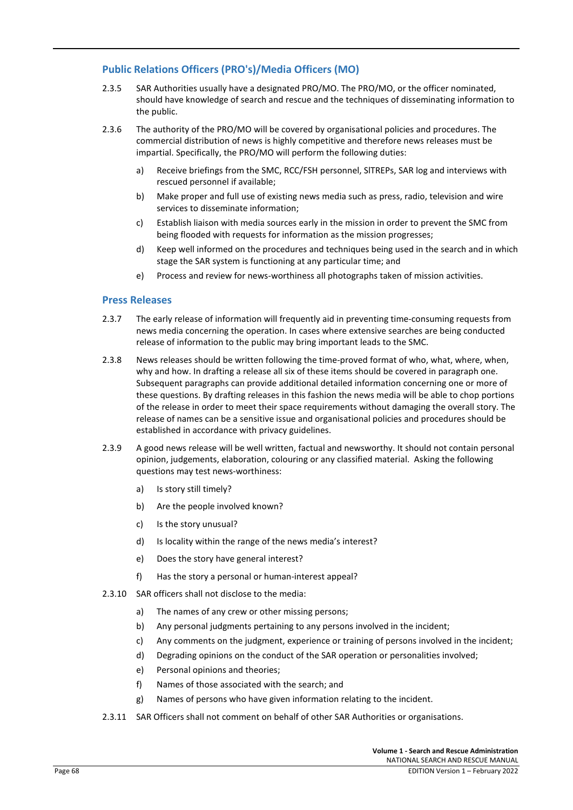# **Public Relations Officers (PRO's)/Media Officers (MO)**

- 2.3.5 SAR Authorities usually have a designated PRO/MO. The PRO/MO, or the officer nominated, should have knowledge of search and rescue and the techniques of disseminating information to the public.
- 2.3.6 The authority of the PRO/MO will be covered by organisational policies and procedures. The commercial distribution of news is highly competitive and therefore news releases must be impartial. Specifically, the PRO/MO will perform the following duties:
	- a) Receive briefings from the SMC, RCC/FSH personnel, SlTREPs, SAR log and interviews with rescued personnel if available;
	- b) Make proper and full use of existing news media such as press, radio, television and wire services to disseminate information;
	- c) Establish liaison with media sources early in the mission in order to prevent the SMC from being flooded with requests for information as the mission progresses;
	- d) Keep well informed on the procedures and techniques being used in the search and in which stage the SAR system is functioning at any particular time; and
	- e) Process and review for news-worthiness all photographs taken of mission activities.

# **Press Releases**

- 2.3.7 The early release of information will frequently aid in preventing time-consuming requests from news media concerning the operation. In cases where extensive searches are being conducted release of information to the public may bring important leads to the SMC.
- 2.3.8 News releases should be written following the time-proved format of who, what, where, when, why and how. In drafting a release all six of these items should be covered in paragraph one. Subsequent paragraphs can provide additional detailed information concerning one or more of these questions. By drafting releases in this fashion the news media will be able to chop portions of the release in order to meet their space requirements without damaging the overall story. The release of names can be a sensitive issue and organisational policies and procedures should be established in accordance with privacy guidelines.
- 2.3.9 A good news release will be well written, factual and newsworthy. It should not contain personal opinion, judgements, elaboration, colouring or any classified material. Asking the following questions may test news-worthiness:
	- a) Is story still timely?
	- b) Are the people involved known?
	- c) Is the story unusual?
	- d) Is locality within the range of the news media's interest?
	- e) Does the story have general interest?
	- f) Has the story a personal or human-interest appeal?
- 2.3.10 SAR officers shall not disclose to the media:
	- a) The names of any crew or other missing persons;
	- b) Any personal judgments pertaining to any persons involved in the incident;
	- c) Any comments on the judgment, experience or training of persons involved in the incident;
	- d) Degrading opinions on the conduct of the SAR operation or personalities involved;
	- e) Personal opinions and theories;
	- f) Names of those associated with the search; and
	- g) Names of persons who have given information relating to the incident.
- 2.3.11 SAR Officers shall not comment on behalf of other SAR Authorities or organisations.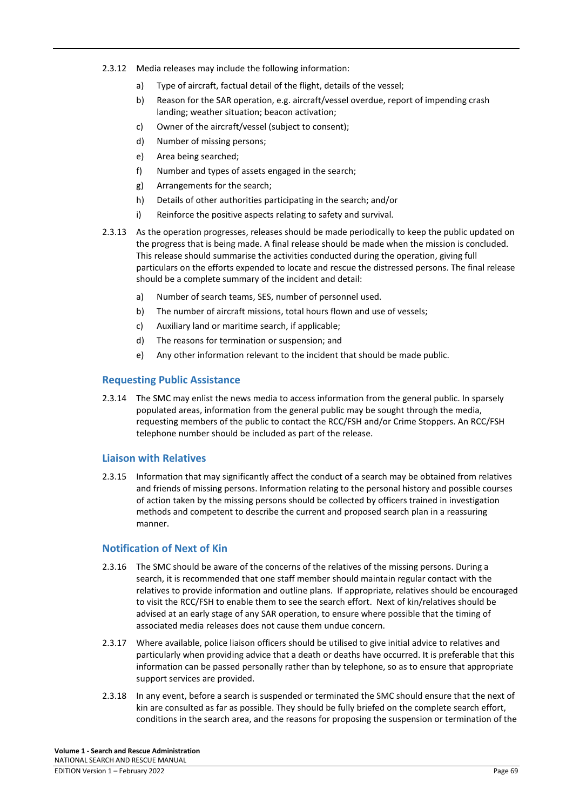- 2.3.12 Media releases may include the following information:
	- a) Type of aircraft, factual detail of the flight, details of the vessel;
	- b) Reason for the SAR operation, e.g. aircraft/vessel overdue, report of impending crash landing; weather situation; beacon activation;
	- c) Owner of the aircraft/vessel (subject to consent);
	- d) Number of missing persons;
	- e) Area being searched;
	- f) Number and types of assets engaged in the search;
	- g) Arrangements for the search;
	- h) Details of other authorities participating in the search; and/or
	- i) Reinforce the positive aspects relating to safety and survival.
- 2.3.13 As the operation progresses, releases should be made periodically to keep the public updated on the progress that is being made. A final release should be made when the mission is concluded. This release should summarise the activities conducted during the operation, giving full particulars on the efforts expended to locate and rescue the distressed persons. The final release should be a complete summary of the incident and detail:
	- a) Number of search teams, SES, number of personnel used.
	- b) The number of aircraft missions, total hours flown and use of vessels;
	- c) Auxiliary land or maritime search, if applicable;
	- d) The reasons for termination or suspension; and
	- e) Any other information relevant to the incident that should be made public.

# **Requesting Public Assistance**

2.3.14 The SMC may enlist the news media to access information from the general public. In sparsely populated areas, information from the general public may be sought through the media, requesting members of the public to contact the RCC/FSH and/or Crime Stoppers. An RCC/FSH telephone number should be included as part of the release.

# **Liaison with Relatives**

2.3.15 Information that may significantly affect the conduct of a search may be obtained from relatives and friends of missing persons. Information relating to the personal history and possible courses of action taken by the missing persons should be collected by officers trained in investigation methods and competent to describe the current and proposed search plan in a reassuring manner.

# **Notification of Next of Kin**

- 2.3.16 The SMC should be aware of the concerns of the relatives of the missing persons. During a search, it is recommended that one staff member should maintain regular contact with the relatives to provide information and outline plans. If appropriate, relatives should be encouraged to visit the RCC/FSH to enable them to see the search effort. Next of kin/relatives should be advised at an early stage of any SAR operation, to ensure where possible that the timing of associated media releases does not cause them undue concern.
- 2.3.17 Where available, police liaison officers should be utilised to give initial advice to relatives and particularly when providing advice that a death or deaths have occurred. It is preferable that this information can be passed personally rather than by telephone, so as to ensure that appropriate support services are provided.
- 2.3.18 In any event, before a search is suspended or terminated the SMC should ensure that the next of kin are consulted as far as possible. They should be fully briefed on the complete search effort, conditions in the search area, and the reasons for proposing the suspension or termination of the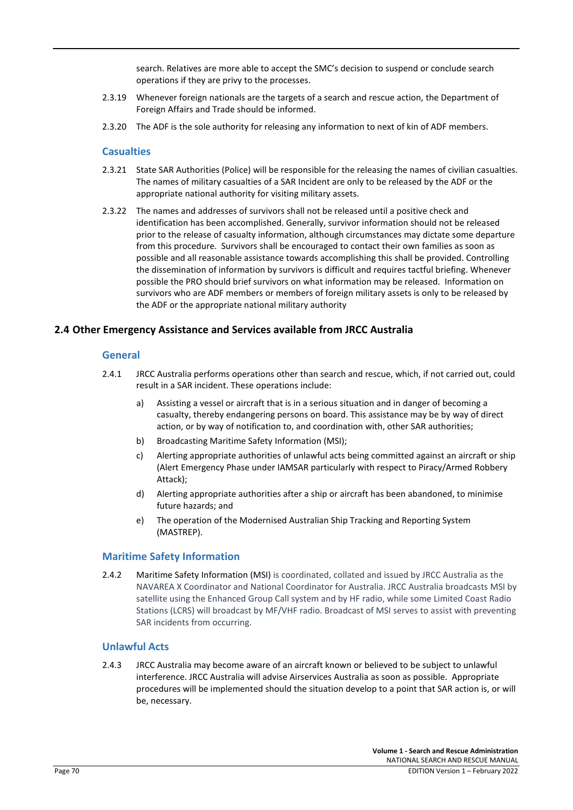search. Relatives are more able to accept the SMC's decision to suspend or conclude search operations if they are privy to the processes.

- 2.3.19 Whenever foreign nationals are the targets of a search and rescue action, the Department of Foreign Affairs and Trade should be informed.
- 2.3.20 The ADF is the sole authority for releasing any information to next of kin of ADF members.

#### **Casualties**

- 2.3.21 State SAR Authorities (Police) will be responsible for the releasing the names of civilian casualties. The names of military casualties of a SAR Incident are only to be released by the ADF or the appropriate national authority for visiting military assets.
- 2.3.22 The names and addresses of survivors shall not be released until a positive check and identification has been accomplished. Generally, survivor information should not be released prior to the release of casualty information, although circumstances may dictate some departure from this procedure. Survivors shall be encouraged to contact their own families as soon as possible and all reasonable assistance towards accomplishing this shall be provided. Controlling the dissemination of information by survivors is difficult and requires tactful briefing. Whenever possible the PRO should brief survivors on what information may be released. Information on survivors who are ADF members or members of foreign military assets is only to be released by the ADF or the appropriate national military authority

#### **2.4 Other Emergency Assistance and Services available from JRCC Australia**

#### **General**

- 2.4.1 JRCC Australia performs operations other than search and rescue, which, if not carried out, could result in a SAR incident. These operations include:
	- a) Assisting a vessel or aircraft that is in a serious situation and in danger of becoming a casualty, thereby endangering persons on board. This assistance may be by way of direct action, or by way of notification to, and coordination with, other SAR authorities;
	- b) Broadcasting Maritime Safety Information (MSI);
	- c) Alerting appropriate authorities of unlawful acts being committed against an aircraft or ship (Alert Emergency Phase under IAMSAR particularly with respect to Piracy/Armed Robbery Attack);
	- d) Alerting appropriate authorities after a ship or aircraft has been abandoned, to minimise future hazards; and
	- e) The operation of the Modernised Australian Ship Tracking and Reporting System (MASTREP).

#### **Maritime Safety Information**

2.4.2 Maritime Safety Information (MSI) is coordinated, collated and issued by JRCC Australia as the NAVAREA X Coordinator and National Coordinator for Australia. JRCC Australia broadcasts MSI by satellite using the Enhanced Group Call system and by HF radio, while some Limited Coast Radio Stations (LCRS) will broadcast by MF/VHF radio. Broadcast of MSI serves to assist with preventing SAR incidents from occurring.

# **Unlawful Acts**

2.4.3 JRCC Australia may become aware of an aircraft known or believed to be subject to unlawful interference. JRCC Australia will advise Airservices Australia as soon as possible. Appropriate procedures will be implemented should the situation develop to a point that SAR action is, or will be, necessary.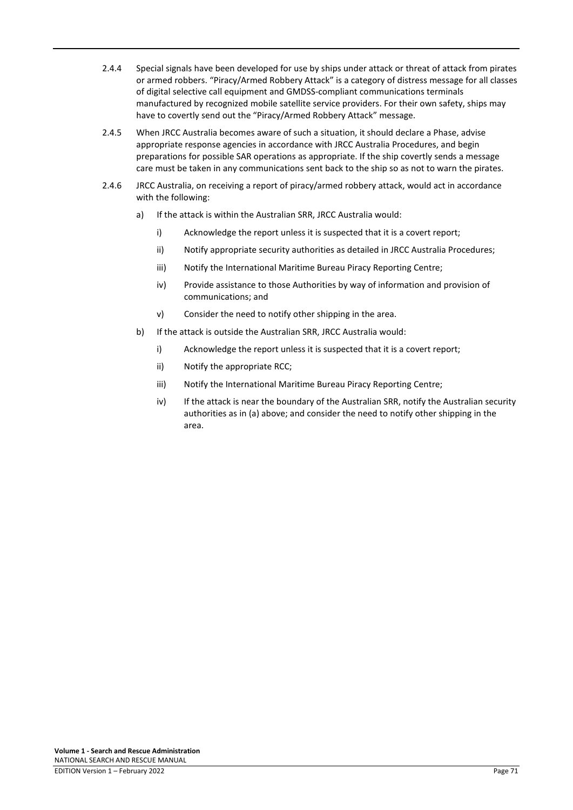- 2.4.4 Special signals have been developed for use by ships under attack or threat of attack from pirates or armed robbers. "Piracy/Armed Robbery Attack" is a category of distress message for all classes of digital selective call equipment and GMDSS-compliant communications terminals manufactured by recognized mobile satellite service providers. For their own safety, ships may have to covertly send out the "Piracy/Armed Robbery Attack" message.
- 2.4.5 When JRCC Australia becomes aware of such a situation, it should declare a Phase, advise appropriate response agencies in accordance with JRCC Australia Procedures, and begin preparations for possible SAR operations as appropriate. If the ship covertly sends a message care must be taken in any communications sent back to the ship so as not to warn the pirates.
- 2.4.6 JRCC Australia, on receiving a report of piracy/armed robbery attack, would act in accordance with the following:
	- a) If the attack is within the Australian SRR, JRCC Australia would:
		- i) Acknowledge the report unless it is suspected that it is a covert report;
		- ii) Notify appropriate security authorities as detailed in JRCC Australia Procedures;
		- iii) Notify the International Maritime Bureau Piracy Reporting Centre;
		- iv) Provide assistance to those Authorities by way of information and provision of communications; and
		- v) Consider the need to notify other shipping in the area.
	- b) If the attack is outside the Australian SRR, JRCC Australia would:
		- i) Acknowledge the report unless it is suspected that it is a covert report;
		- ii) Notify the appropriate RCC;
		- iii) Notify the International Maritime Bureau Piracy Reporting Centre;
		- iv) If the attack is near the boundary of the Australian SRR, notify the Australian security authorities as in (a) above; and consider the need to notify other shipping in the area.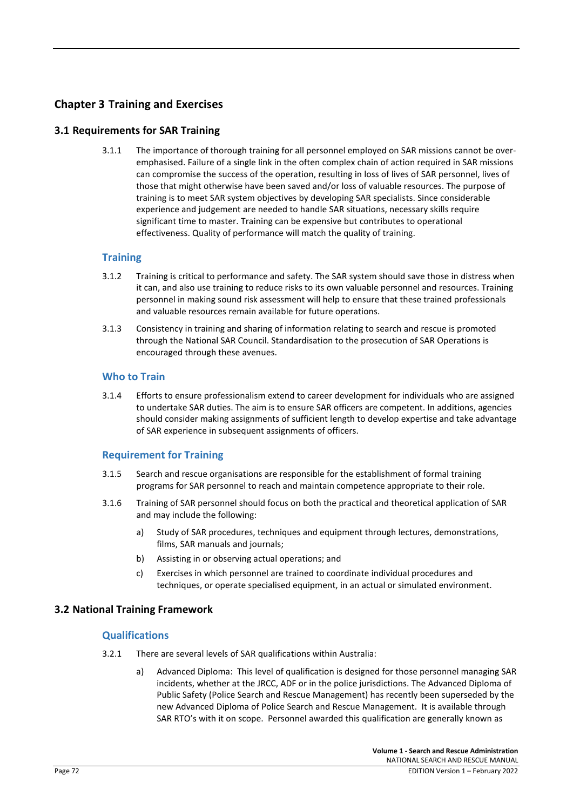# **Chapter 3 Training and Exercises**

# **3.1 Requirements for SAR Training**

3.1.1 The importance of thorough training for all personnel employed on SAR missions cannot be overemphasised. Failure of a single link in the often complex chain of action required in SAR missions can compromise the success of the operation, resulting in loss of lives of SAR personnel, lives of those that might otherwise have been saved and/or loss of valuable resources. The purpose of training is to meet SAR system objectives by developing SAR specialists. Since considerable experience and judgement are needed to handle SAR situations, necessary skills require significant time to master. Training can be expensive but contributes to operational effectiveness. Quality of performance will match the quality of training.

# **Training**

- 3.1.2 Training is critical to performance and safety. The SAR system should save those in distress when it can, and also use training to reduce risks to its own valuable personnel and resources. Training personnel in making sound risk assessment will help to ensure that these trained professionals and valuable resources remain available for future operations.
- 3.1.3 Consistency in training and sharing of information relating to search and rescue is promoted through the National SAR Council. Standardisation to the prosecution of SAR Operations is encouraged through these avenues.

# **Who to Train**

3.1.4 Efforts to ensure professionalism extend to career development for individuals who are assigned to undertake SAR duties. The aim is to ensure SAR officers are competent. In additions, agencies should consider making assignments of sufficient length to develop expertise and take advantage of SAR experience in subsequent assignments of officers.

# **Requirement for Training**

- 3.1.5 Search and rescue organisations are responsible for the establishment of formal training programs for SAR personnel to reach and maintain competence appropriate to their role.
- 3.1.6 Training of SAR personnel should focus on both the practical and theoretical application of SAR and may include the following:
	- a) Study of SAR procedures, techniques and equipment through lectures, demonstrations, films, SAR manuals and journals;
	- b) Assisting in or observing actual operations; and
	- c) Exercises in which personnel are trained to coordinate individual procedures and techniques, or operate specialised equipment, in an actual or simulated environment.

# **3.2 National Training Framework**

# **Qualifications**

- 3.2.1 There are several levels of SAR qualifications within Australia:
	- a) Advanced Diploma: This level of qualification is designed for those personnel managing SAR incidents, whether at the JRCC, ADF or in the police jurisdictions. The Advanced Diploma of Public Safety (Police Search and Rescue Management) has recently been superseded by the new Advanced Diploma of Police Search and Rescue Management. It is available through SAR RTO's with it on scope. Personnel awarded this qualification are generally known as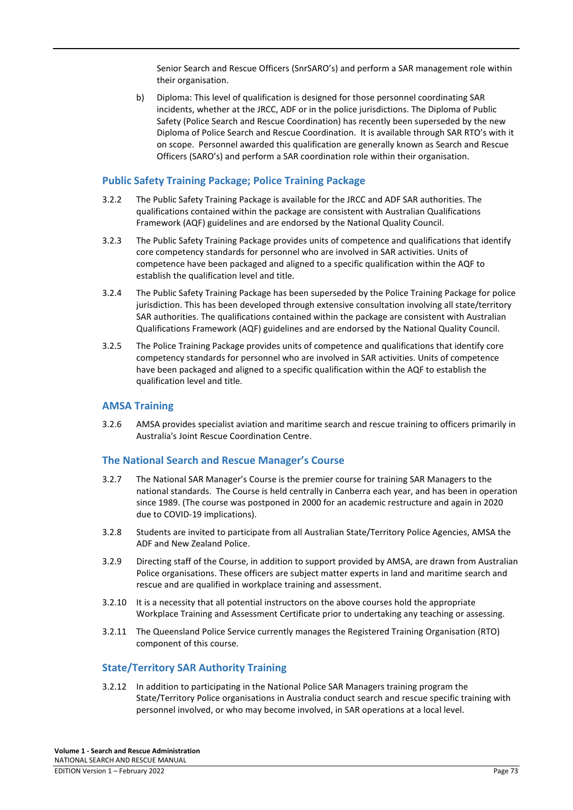Senior Search and Rescue Officers (SnrSARO's) and perform a SAR management role within their organisation.

b) Diploma: This level of qualification is designed for those personnel coordinating SAR incidents, whether at the JRCC, ADF or in the police jurisdictions. The Diploma of Public Safety (Police Search and Rescue Coordination) has recently been superseded by the new Diploma of Police Search and Rescue Coordination. It is available through SAR RTO's with it on scope. Personnel awarded this qualification are generally known as Search and Rescue Officers (SARO's) and perform a SAR coordination role within their organisation.

# **Public Safety Training Package; Police Training Package**

- 3.2.2 The Public Safety Training Package is available for the JRCC and ADF SAR authorities. The qualifications contained within the package are consistent with Australian Qualifications Framework (AQF) guidelines and are endorsed by the National Quality Council.
- 3.2.3 The Public Safety Training Package provides units of competence and qualifications that identify core competency standards for personnel who are involved in SAR activities. Units of competence have been packaged and aligned to a specific qualification within the AQF to establish the qualification level and title.
- 3.2.4 The Public Safety Training Package has been superseded by the Police Training Package for police jurisdiction. This has been developed through extensive consultation involving all state/territory SAR authorities. The qualifications contained within the package are consistent with Australian Qualifications Framework (AQF) guidelines and are endorsed by the National Quality Council.
- 3.2.5 The Police Training Package provides units of competence and qualifications that identify core competency standards for personnel who are involved in SAR activities. Units of competence have been packaged and aligned to a specific qualification within the AQF to establish the qualification level and title.

# **AMSA Training**

3.2.6 AMSA provides specialist aviation and maritime search and rescue training to officers primarily in Australia's Joint Rescue Coordination Centre.

# **The National Search and Rescue Manager's Course**

- 3.2.7 The National SAR Manager's Course is the premier course for training SAR Managers to the national standards. The Course is held centrally in Canberra each year, and has been in operation since 1989. (The course was postponed in 2000 for an academic restructure and again in 2020 due to COVID-19 implications).
- 3.2.8 Students are invited to participate from all Australian State/Territory Police Agencies, AMSA the ADF and New Zealand Police.
- 3.2.9 Directing staff of the Course, in addition to support provided by AMSA, are drawn from Australian Police organisations. These officers are subject matter experts in land and maritime search and rescue and are qualified in workplace training and assessment.
- 3.2.10 It is a necessity that all potential instructors on the above courses hold the appropriate Workplace Training and Assessment Certificate prior to undertaking any teaching or assessing.
- 3.2.11 The Queensland Police Service currently manages the Registered Training Organisation (RTO) component of this course.

# **State/Territory SAR Authority Training**

3.2.12 In addition to participating in the National Police SAR Managers training program the State/Territory Police organisations in Australia conduct search and rescue specific training with personnel involved, or who may become involved, in SAR operations at a local level.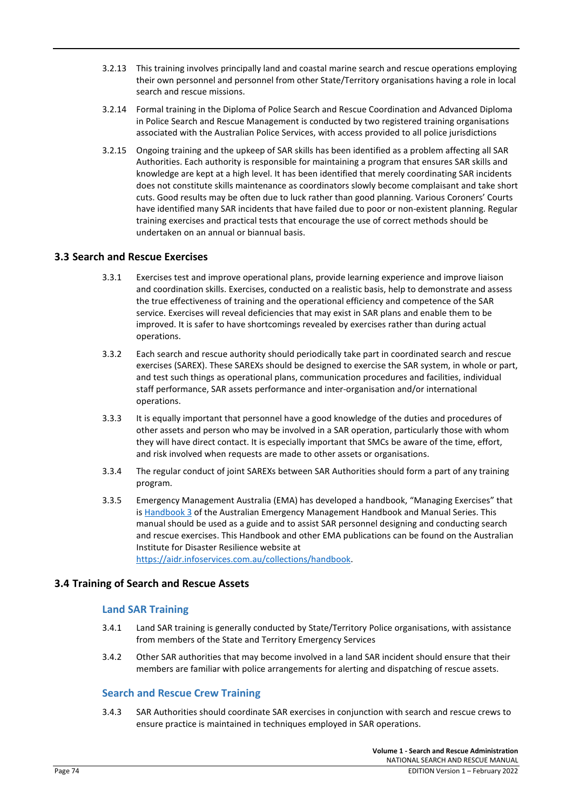- 3.2.13 This training involves principally land and coastal marine search and rescue operations employing their own personnel and personnel from other State/Territory organisations having a role in local search and rescue missions.
- 3.2.14 Formal training in the Diploma of Police Search and Rescue Coordination and Advanced Diploma in Police Search and Rescue Management is conducted by two registered training organisations associated with the Australian Police Services, with access provided to all police jurisdictions
- 3.2.15 Ongoing training and the upkeep of SAR skills has been identified as a problem affecting all SAR Authorities. Each authority is responsible for maintaining a program that ensures SAR skills and knowledge are kept at a high level. It has been identified that merely coordinating SAR incidents does not constitute skills maintenance as coordinators slowly become complaisant and take short cuts. Good results may be often due to luck rather than good planning. Various Coroners' Courts have identified many SAR incidents that have failed due to poor or non-existent planning. Regular training exercises and practical tests that encourage the use of correct methods should be undertaken on an annual or biannual basis.

# **3.3 Search and Rescue Exercises**

- 3.3.1 Exercises test and improve operational plans, provide learning experience and improve liaison and coordination skills. Exercises, conducted on a realistic basis, help to demonstrate and assess the true effectiveness of training and the operational efficiency and competence of the SAR service. Exercises will reveal deficiencies that may exist in SAR plans and enable them to be improved. It is safer to have shortcomings revealed by exercises rather than during actual operations.
- 3.3.2 Each search and rescue authority should periodically take part in coordinated search and rescue exercises (SAREX). These SAREXs should be designed to exercise the SAR system, in whole or part, and test such things as operational plans, communication procedures and facilities, individual staff performance, SAR assets performance and inter-organisation and/or international operations.
- 3.3.3 It is equally important that personnel have a good knowledge of the duties and procedures of other assets and person who may be involved in a SAR operation, particularly those with whom they will have direct contact. It is especially important that SMCs be aware of the time, effort, and risk involved when requests are made to other assets or organisations.
- 3.3.4 The regular conduct of joint SAREXs between SAR Authorities should form a part of any training program.
- 3.3.5 Emergency Management Australia (EMA) has developed a handbook, "Managing Exercises" that is [Handbook 3](https://ema.infoservices.com.au/collections/handbook) of the Australian Emergency Management Handbook and Manual Series. This manual should be used as a guide and to assist SAR personnel designing and conducting search and rescue exercises. This Handbook and other EMA publications can be found on the Australian Institute for Disaster Resilience website at

[https://aidr.infoservices.com.au/collections/handbook.](https://aidr.infoservices.com.au/collections/handbook) 

# **3.4 Training of Search and Rescue Assets**

# **Land SAR Training**

- 3.4.1 Land SAR training is generally conducted by State/Territory Police organisations, with assistance from members of the State and Territory Emergency Services
- 3.4.2 Other SAR authorities that may become involved in a land SAR incident should ensure that their members are familiar with police arrangements for alerting and dispatching of rescue assets.

# **Search and Rescue Crew Training**

3.4.3 SAR Authorities should coordinate SAR exercises in conjunction with search and rescue crews to ensure practice is maintained in techniques employed in SAR operations.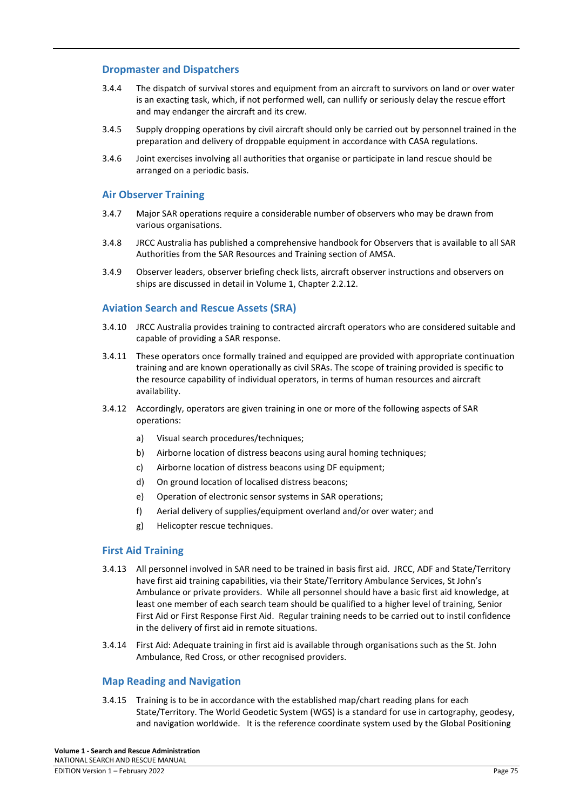# **Dropmaster and Dispatchers**

- 3.4.4 The dispatch of survival stores and equipment from an aircraft to survivors on land or over water is an exacting task, which, if not performed well, can nullify or seriously delay the rescue effort and may endanger the aircraft and its crew.
- 3.4.5 Supply dropping operations by civil aircraft should only be carried out by personnel trained in the preparation and delivery of droppable equipment in accordance with CASA regulations.
- 3.4.6 Joint exercises involving all authorities that organise or participate in land rescue should be arranged on a periodic basis.

# **Air Observer Training**

- 3.4.7 Major SAR operations require a considerable number of observers who may be drawn from various organisations.
- 3.4.8 JRCC Australia has published a comprehensive handbook for Observers that is available to all SAR Authorities from the SAR Resources and Training section of AMSA.
- 3.4.9 Observer leaders, observer briefing check lists, aircraft observer instructions and observers on ships are discussed in detail in Volume 1, Chapter 2.2.12.

#### **Aviation Search and Rescue Assets (SRA)**

- 3.4.10 JRCC Australia provides training to contracted aircraft operators who are considered suitable and capable of providing a SAR response.
- 3.4.11 These operators once formally trained and equipped are provided with appropriate continuation training and are known operationally as civil SRAs. The scope of training provided is specific to the resource capability of individual operators, in terms of human resources and aircraft availability.
- 3.4.12 Accordingly, operators are given training in one or more of the following aspects of SAR operations:
	- a) Visual search procedures/techniques;
	- b) Airborne location of distress beacons using aural homing techniques;
	- c) Airborne location of distress beacons using DF equipment;
	- d) On ground location of localised distress beacons;
	- e) Operation of electronic sensor systems in SAR operations;
	- f) Aerial delivery of supplies/equipment overland and/or over water; and
	- g) Helicopter rescue techniques.

#### **First Aid Training**

- 3.4.13 All personnel involved in SAR need to be trained in basis first aid. JRCC, ADF and State/Territory have first aid training capabilities, via their State/Territory Ambulance Services, St John's Ambulance or private providers. While all personnel should have a basic first aid knowledge, at least one member of each search team should be qualified to a higher level of training, Senior First Aid or First Response First Aid. Regular training needs to be carried out to instil confidence in the delivery of first aid in remote situations.
- 3.4.14 First Aid: Adequate training in first aid is available through organisations such as the St. John Ambulance, Red Cross, or other recognised providers.

#### **Map Reading and Navigation**

3.4.15 Training is to be in accordance with the established map/chart reading plans for each State/Territory. The World Geodetic System (WGS) is a standard for use in cartography, geodesy, and navigation worldwide. It is the reference coordinate system used by the Global Positioning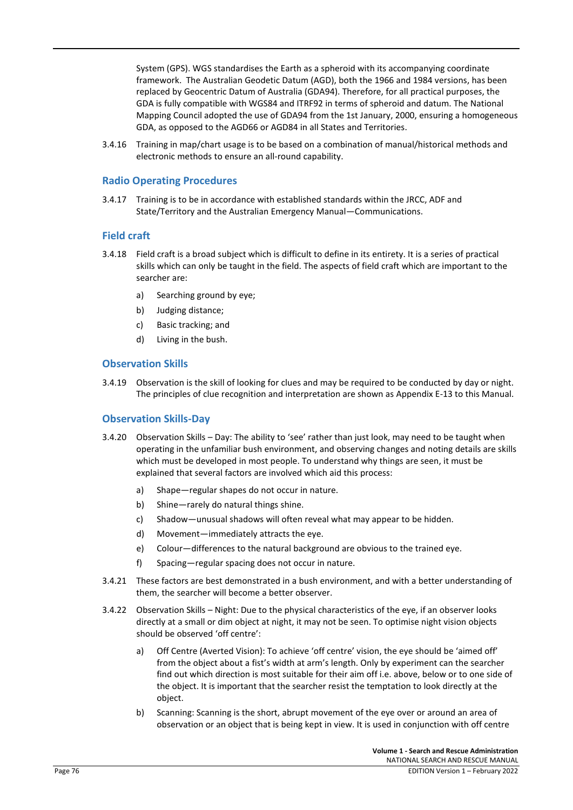System (GPS). WGS standardises the Earth as a spheroid with its accompanying coordinate framework. The Australian Geodetic Datum (AGD), both the 1966 and 1984 versions, has been replaced by [Geocentric Datum of Australia \(GDA94\).](http://www.ga.gov.au/earth-monitoring/geodesy/geodetic-datums/GDA.html) Therefore, for all practical purposes, the GDA is fully compatible with WGS84 and ITRF92 in terms of spheroid and datum. The National Mapping Council adopted the use of GDA94 from the 1st January, 2000, ensuring a homogeneous GDA, as opposed to the AGD66 or AGD84 in all States and Territories.

3.4.16 Training in map/chart usage is to be based on a combination of manual/historical methods and electronic methods to ensure an all-round capability.

# **Radio Operating Procedures**

3.4.17 Training is to be in accordance with established standards within the JRCC, ADF and State/Territory and the Australian Emergency Manual—Communications.

# **Field craft**

- 3.4.18 Field craft is a broad subject which is difficult to define in its entirety. It is a series of practical skills which can only be taught in the field. The aspects of field craft which are important to the searcher are:
	- a) Searching ground by eye;
	- b) Judging distance;
	- c) Basic tracking; and
	- d) Living in the bush.

#### **Observation Skills**

3.4.19 Observation is the skill of looking for clues and may be required to be conducted by day or night. The principles of clue recognition and interpretation are shown as Appendix E-13 to this Manual.

#### **Observation Skills-Day**

- 3.4.20 Observation Skills Day: The ability to 'see' rather than just look, may need to be taught when operating in the unfamiliar bush environment, and observing changes and noting details are skills which must be developed in most people. To understand why things are seen, it must be explained that several factors are involved which aid this process:
	- a) Shape—regular shapes do not occur in nature.
	- b) Shine—rarely do natural things shine.
	- c) Shadow—unusual shadows will often reveal what may appear to be hidden.
	- d) Movement—immediately attracts the eye.
	- e) Colour—differences to the natural background are obvious to the trained eye.
	- f) Spacing—regular spacing does not occur in nature.
- 3.4.21 These factors are best demonstrated in a bush environment, and with a better understanding of them, the searcher will become a better observer.
- 3.4.22 Observation Skills Night: Due to the physical characteristics of the eye, if an observer looks directly at a small or dim object at night, it may not be seen. To optimise night vision objects should be observed 'off centre':
	- a) Off Centre (Averted Vision): To achieve 'off centre' vision, the eye should be 'aimed off' from the object about a fist's width at arm's length. Only by experiment can the searcher find out which direction is most suitable for their aim off i.e. above, below or to one side of the object. It is important that the searcher resist the temptation to look directly at the object.
	- b) Scanning: Scanning is the short, abrupt movement of the eye over or around an area of observation or an object that is being kept in view. It is used in conjunction with off centre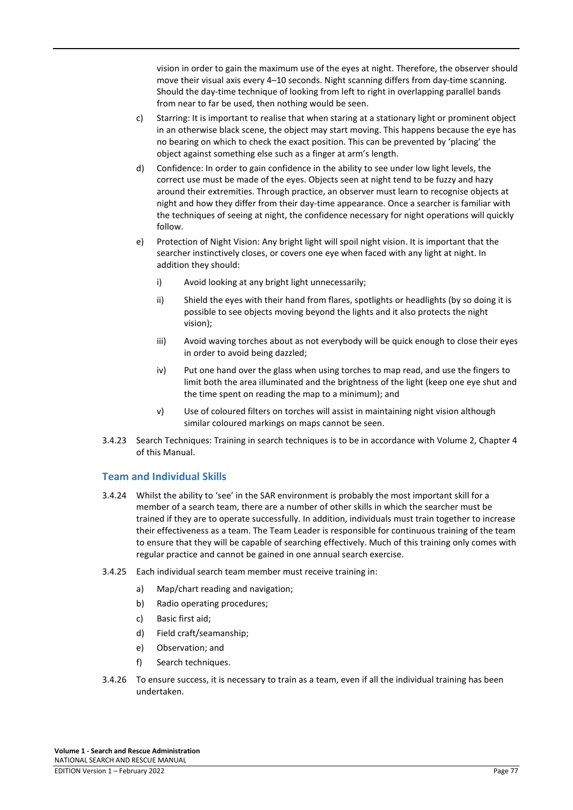vision in order to gain the maximum use of the eyes at night. Therefore, the observer should move their visual axis every 4–10 seconds. Night scanning differs from day-time scanning. Should the day-time technique of looking from left to right in overlapping parallel bands from near to far be used, then nothing would be seen.

- c) Starring: It is important to realise that when staring at a stationary light or prominent object in an otherwise black scene, the object may start moving. This happens because the eye has no bearing on which to check the exact position. This can be prevented by 'placing' the object against something else such as a finger at arm's length.
- d) Confidence: In order to gain confidence in the ability to see under low light levels, the correct use must be made of the eyes. Objects seen at night tend to be fuzzy and hazy around their extremities. Through practice, an observer must learn to recognise objects at night and how they differ from their day-time appearance. Once a searcher is familiar with the techniques of seeing at night, the confidence necessary for night operations will quickly follow.
- e) Protection of Night Vision: Any bright light will spoil night vision. It is important that the searcher instinctively closes, or covers one eye when faced with any light at night. In addition they should:
	- i) Avoid looking at any bright light unnecessarily;
	- ii) Shield the eyes with their hand from flares, spotlights or headlights (by so doing it is possible to see objects moving beyond the lights and it also protects the night vision);
	- iii) Avoid waving torches about as not everybody will be quick enough to close their eyes in order to avoid being dazzled;
	- iv) Put one hand over the glass when using torches to map read, and use the fingers to limit both the area illuminated and the brightness of the light (keep one eye shut and the time spent on reading the map to a minimum); and
	- v) Use of coloured filters on torches will assist in maintaining night vision although similar coloured markings on maps cannot be seen.
- 3.4.23 Search Techniques: Training in search techniques is to be in accordance with Volume 2, Chapter 4 of this Manual.

# **Team and Individual Skills**

- 3.4.24 Whilst the ability to 'see' in the SAR environment is probably the most important skill for a member of a search team, there are a number of other skills in which the searcher must be trained if they are to operate successfully. In addition, individuals must train together to increase their effectiveness as a team. The Team Leader is responsible for continuous training of the team to ensure that they will be capable of searching effectively. Much of this training only comes with regular practice and cannot be gained in one annual search exercise.
- 3.4.25 Each individual search team member must receive training in:
	- a) Map/chart reading and navigation;
	- b) Radio operating procedures;
	- c) Basic first aid;
	- d) Field craft/seamanship;
	- e) Observation; and
	- f) Search techniques.
- 3.4.26 To ensure success, it is necessary to train as a team, even if all the individual training has been undertaken.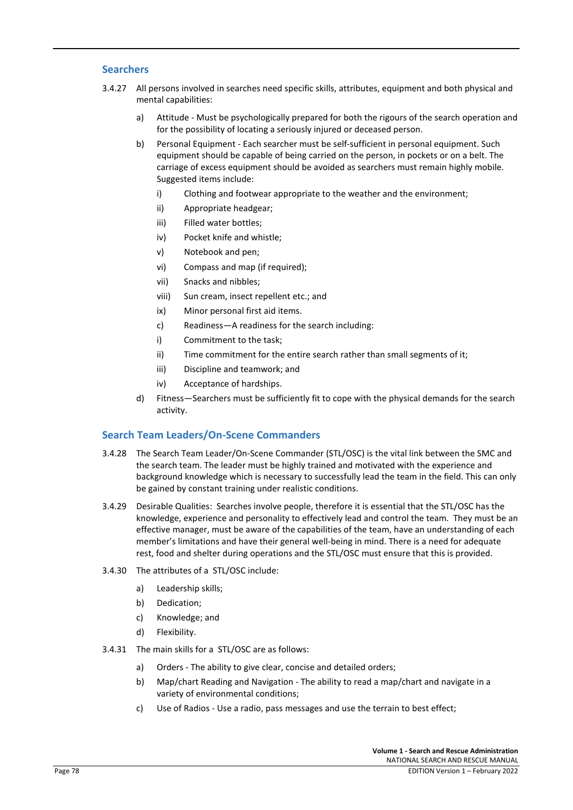# **Searchers**

- 3.4.27 All persons involved in searches need specific skills, attributes, equipment and both physical and mental capabilities:
	- a) Attitude Must be psychologically prepared for both the rigours of the search operation and for the possibility of locating a seriously injured or deceased person.
	- b) Personal Equipment Each searcher must be self-sufficient in personal equipment. Such equipment should be capable of being carried on the person, in pockets or on a belt. The carriage of excess equipment should be avoided as searchers must remain highly mobile. Suggested items include:
		- i) Clothing and footwear appropriate to the weather and the environment;
		- ii) Appropriate headgear;
		- iii) Filled water bottles;
		- iv) Pocket knife and whistle;
		- v) Notebook and pen;
		- vi) Compass and map (if required);
		- vii) Snacks and nibbles;
		- viii) Sun cream, insect repellent etc.; and
		- ix) Minor personal first aid items.
		- c) Readiness—A readiness for the search including:
		- i) Commitment to the task;
		- ii) Time commitment for the entire search rather than small segments of it;
		- iii) Discipline and teamwork; and
		- iv) Acceptance of hardships.
	- d) Fitness—Searchers must be sufficiently fit to cope with the physical demands for the search activity.

# **Search Team Leaders/On-Scene Commanders**

- 3.4.28 The Search Team Leader/On-Scene Commander (STL/OSC) is the vital link between the SMC and the search team. The leader must be highly trained and motivated with the experience and background knowledge which is necessary to successfully lead the team in the field. This can only be gained by constant training under realistic conditions.
- 3.4.29 Desirable Qualities: Searches involve people, therefore it is essential that the STL/OSC has the knowledge, experience and personality to effectively lead and control the team. They must be an effective manager, must be aware of the capabilities of the team, have an understanding of each member's limitations and have their general well-being in mind. There is a need for adequate rest, food and shelter during operations and the STL/OSC must ensure that this is provided.
- 3.4.30 The attributes of a STL/OSC include:
	- a) Leadership skills;
	- b) Dedication;
	- c) Knowledge; and
	- d) Flexibility.
- 3.4.31 The main skills for a STL/OSC are as follows:
	- a) Orders The ability to give clear, concise and detailed orders;
	- b) Map/chart Reading and Navigation The ability to read a map/chart and navigate in a variety of environmental conditions;
	- c) Use of Radios Use a radio, pass messages and use the terrain to best effect;